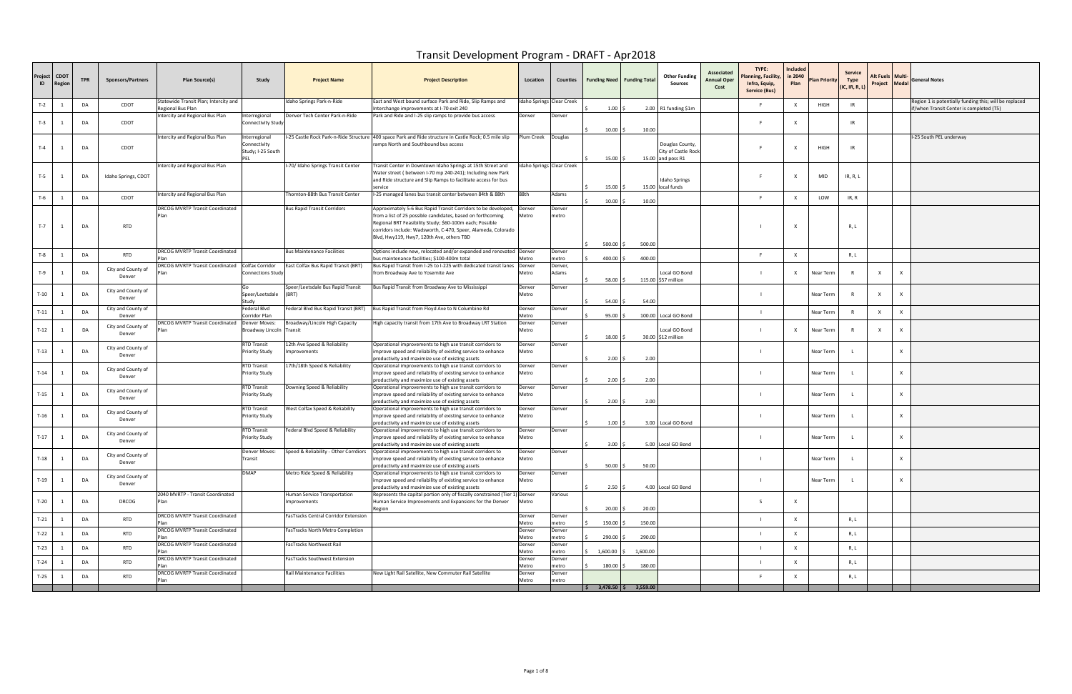| Project<br>ID | <b>CDOT</b><br>Region | <b>TPR</b> | <b>Sponsors/Partners</b>     | Plan Source(s)                                             | Study                                              | <b>Project Name</b>                          | <b>Project Description</b>                                                                                                                                                                                                                                                                              | Location                  | Counties                  | <b>Funding Need   Funding Total</b>           | <b>Other Funding</b><br>Sources                             | Associated<br><b>Annual Oper</b><br>Cost | TYPE:<br>lanning, Facility,<br>Infra, Equip,<br><b>Service (Bus)</b> | Included<br>in 2040<br>Plan | <b>Plan Priority</b> | Service<br>Type<br>(IC, IR, R, L) | Alt Fuels   Multi<br>Project Modal |                           | <b>General Notes</b>                                                                              |
|---------------|-----------------------|------------|------------------------------|------------------------------------------------------------|----------------------------------------------------|----------------------------------------------|---------------------------------------------------------------------------------------------------------------------------------------------------------------------------------------------------------------------------------------------------------------------------------------------------------|---------------------------|---------------------------|-----------------------------------------------|-------------------------------------------------------------|------------------------------------------|----------------------------------------------------------------------|-----------------------------|----------------------|-----------------------------------|------------------------------------|---------------------------|---------------------------------------------------------------------------------------------------|
| $T-2$         | 1                     | DA         | CDOT                         | Statewide Transit Plan; Intercity and<br>Regional Bus Plan |                                                    | Idaho Springs Park-n-Ride                    | East and West bound surface Park and Ride, Slip Ramps and<br>Interchange improvements at I-70 exit 240                                                                                                                                                                                                  | Idaho Springs Clear Creek |                           | $1.00$ ;                                      | $2.00$ R1 funding \$1m                                      |                                          |                                                                      | X                           | HIGH                 | IR                                |                                    |                           | Region 1 is potentially funding this; will be replaced<br>f/when Transit Center is completed (T5) |
| $T-3$         |                       | DA         | CDOT                         | Intercity and Regional Bus Plan                            | Interregional<br>Connectivity Study                | Denver Tech Center Park-n-Ride               | Park and Ride and I-25 slip ramps to provide bus access                                                                                                                                                                                                                                                 | Denver                    | Denver                    | $10.00$ \$                                    | 10.00                                                       |                                          |                                                                      | $\mathsf{x}$                |                      | IR                                |                                    |                           |                                                                                                   |
| $T-4$         | 1                     | DA         | CDOT                         | Intercity and Regional Bus Plan                            | Interregional<br>Connectivity<br>Study; I-25 South |                                              | -25 Castle Rock Park-n-Ride Structure  400 space Park and Ride structure in Castle Rock; 0.5 mile slip<br>ramps North and Southbound bus access                                                                                                                                                         | Plum Creek   Douglas      |                           | 15.00%                                        | Douglas County,<br>City of Castle Rock<br>15.00 and poss R1 |                                          |                                                                      | X                           | HIGH                 | -IR                               |                                    |                           | -25 South PEL underway                                                                            |
| $T-5$         | -1                    | DA         | Idaho Springs, CDOT          | Intercity and Regional Bus Plan                            |                                                    | I-70/ Idaho Springs Transit Center           | Transit Center in Downtown Idaho Springs at 15th Street and<br>Water street (between I-70 mp 240-241); Including new Park<br>and Ride structure and Slip Ramps to facilitate access for bus<br>service                                                                                                  |                           | Idaho Springs Clear Creek | 15.00                                         | Idaho Springs<br>15.00 local funds                          |                                          |                                                                      | X                           | MID                  | IR, R, L                          |                                    |                           |                                                                                                   |
| $T-6$         | -1                    | DA         | CDOT                         | Intercity and Regional Bus Plan                            |                                                    | Thornton-88th Bus Transit Center             | I-25 managed lanes bus transit center between 84th & 88th                                                                                                                                                                                                                                               | 88th                      | Adams                     | $10.00$ \$                                    | 10.00                                                       |                                          | F                                                                    | X                           | LOW                  | IR, R                             |                                    |                           |                                                                                                   |
| $T-7$         | 1                     | DA         | <b>RTD</b>                   | DRCOG MVRTP Transit Coordinated                            |                                                    | <b>Bus Rapid Transit Corridors</b>           | Approximately 5-6 Bus Rapid Transit Corridors to be developed,<br>from a list of 25 possible candidates, based on forthcoming<br>Regional BRT Feasibility Study; \$60-100m each; Possible<br>corridors include: Wadsworth, C-470, Speer, Alameda, Colorado<br>Blvd, Hwy119, Hwy7, 120th Ave, others TBD | Denver<br>Metro           | Denver<br>metro           | $500.00$ \$                                   | 500.00                                                      |                                          |                                                                      | X                           |                      | R, L                              |                                    |                           |                                                                                                   |
| $T-8$         |                       | DA         | <b>RTD</b>                   | DRCOG MVRTP Transit Coordinated                            |                                                    | <b>Bus Maintenance Facilities</b>            | Options include new, relocated and/or expanded and renovated Denver<br>bus maintenance facilities; \$100-400m total                                                                                                                                                                                     | Metro                     | Denver<br>metro           | 400.00                                        | 400.00                                                      |                                          | F                                                                    | $\mathsf{x}$                |                      | R, L                              |                                    |                           |                                                                                                   |
| $T-9$         |                       | DA         | City and County of<br>Denver | DRCOG MVRTP Transit Coordinated<br>Plan                    | Colfax Corridor<br><b>Connections Study</b>        | East Colfax Bus Rapid Transit (BRT)          | Bus Rapid Transit from I-25 to I-225 with dedicated transit lanes<br>from Broadway Ave to Yosemite Ave                                                                                                                                                                                                  | Denver<br>Metro           | Denver,<br>Adams          | $58.00$ \$                                    | Local GO Bond<br>115.00 \$57 million                        |                                          | $\blacksquare$                                                       | $\mathsf{X}$                | Near Term            | $\overline{R}$                    | $\times$                           | X                         |                                                                                                   |
| $T-10$        |                       | DA         | City and County of<br>Denver |                                                            | Speer/Leetsdale<br>itudy                           | Speer/Leetsdale Bus Rapid Transit<br>(BRT)   | Bus Rapid Transit from Broadway Ave to Mississippi                                                                                                                                                                                                                                                      | Denver<br>Metro           | Denver                    | 54.00%                                        | 54.00                                                       |                                          |                                                                      |                             | Near Term            |                                   | $\mathsf{X}$                       | X                         |                                                                                                   |
| $T-11$        |                       | DA         | City and County of<br>Denver |                                                            | Federal Blvd<br>Corridor Plan                      | Federal Blvd Bus Rapid Transit (BRT)         | Bus Rapid Transit from Floyd Ave to N Columbine Rd                                                                                                                                                                                                                                                      | Denver<br>Metro           | Denver                    | 95.00                                         | 100.00 Local GO Bond                                        |                                          |                                                                      |                             | Near Term            |                                   | $\mathsf{X}$                       | X                         |                                                                                                   |
| $T-12$        |                       | DA         | City and County of<br>Denver | DRCOG MVRTP Transit Coordinated   Denver Moves:<br>Plan    | Broadway Lincoln Transit                           | Broadway/Lincoln High Capacity               | High capacity transit from 17th Ave to Broadway LRT Station                                                                                                                                                                                                                                             | Denver<br>Metro           | Denver                    | 18.00                                         | ocal GO Bond<br>30.00 \$12 million                          |                                          |                                                                      | $\times$                    | Near Term            | $\overline{R}$                    | $\times$                           | $\mathsf{x}$              |                                                                                                   |
| $T-13$        |                       | DA         | City and County of<br>Denver |                                                            | RTD Transit<br>Priority Study                      | 12th Ave Speed & Reliability<br>Improvements | Operational improvements to high use transit corridors to<br>improve speed and reliability of existing service to enhance<br>productivity and maximize use of existing assets                                                                                                                           | Denver<br>Metro           | Denver                    | 2.00                                          | 2.00                                                        |                                          |                                                                      |                             | Near Term            |                                   |                                    |                           |                                                                                                   |
| $T-14$        | - 1                   | DA         | City and County of<br>Denver |                                                            | RTD Transit<br><b>Priority Study</b>               | 17th/18th Speed & Reliability                | Operational improvements to high use transit corridors to<br>improve speed and reliability of existing service to enhance<br>productivity and maximize use of existing assets                                                                                                                           | Denver<br>Metro           | Denver                    | 2.00%                                         | 2.00                                                        |                                          |                                                                      |                             | Near Term            |                                   |                                    | X                         |                                                                                                   |
| $T-15$        |                       | DA         | City and County of<br>Denver |                                                            | RTD Transit<br>Priority Study                      | Downing Speed & Reliability                  | Operational improvements to high use transit corridors to<br>improve speed and reliability of existing service to enhance<br>productivity and maximize use of existing assets                                                                                                                           | Denver<br>Metro           | Denver                    | 2.00%                                         | 2.00                                                        |                                          |                                                                      |                             | Near Term            |                                   |                                    | $\boldsymbol{\mathsf{x}}$ |                                                                                                   |
| $T-16$        |                       | DA         | City and County of<br>Denver |                                                            | RTD Transit<br><b>Priority Study</b>               | West Colfax Speed & Reliability              | Operational improvements to high use transit corridors to<br>improve speed and reliability of existing service to enhance<br>productivity and maximize use of existing assets                                                                                                                           | Denver<br>Metro           | Denver                    | $1.00 \,$ \$                                  | 3.00 Local GO Bond                                          |                                          |                                                                      |                             | Near Term            |                                   |                                    | $\mathsf{x}$              |                                                                                                   |
| $T-17$        | $\overline{1}$        | DA         | City and County of<br>Denver |                                                            | <b>RTD Transit</b><br><b>Priority Study</b>        | Federal Blvd Speed & Reliability             | Operational improvements to high use transit corridors to<br>improve speed and reliability of existing service to enhance<br>productivity and maximize use of existing assets                                                                                                                           | Denver<br>Metro           | Denver                    | $3.00$ \$                                     | 5.00 Local GO Bond                                          |                                          |                                                                      |                             | Near Term            |                                   |                                    | $\mathsf{x}$              |                                                                                                   |
| $T-18$        | $\overline{1}$        | DA         | City and County of<br>Denver |                                                            | Denver Moves:<br>Transit                           |                                              | Speed & Reliability - Other Corrdiors   Operational improvements to high use transit corridors to<br>improve speed and reliability of existing service to enhance<br>productivity and maximize use of existing assets                                                                                   | Denver<br>Metro           | Denver                    | $50.00$ \$                                    | 50.00                                                       |                                          |                                                                      |                             | Near Term            |                                   |                                    | X                         |                                                                                                   |
| $T-19$        |                       | DA         | City and County of<br>Denver |                                                            | <b>DMAP</b>                                        | Metro Ride Speed & Reliability               | Operational improvements to high use transit corridors to<br>improve speed and reliability of existing service to enhance<br>productivity and maximize use of existing assets                                                                                                                           | Denver<br>Metro           | Denver                    | $2.50$ \$                                     | 4.00 Local GO Bond                                          |                                          |                                                                      |                             | Near Term            |                                   |                                    | X                         |                                                                                                   |
| $T-20$        | - 1                   | DA         | <b>DRCOG</b>                 | 2040 MVRTP - Transit Coordinated<br>Plan                   |                                                    | Human Service Transportation<br>Improvements | Represents the capital portion only of fiscally constrained (Tier 1) Denver<br>Human Service Improvements and Expansions for the Denver<br>Region                                                                                                                                                       | Metro                     | Various                   | $20.00$ \$                                    | 20.00                                                       |                                          | S.                                                                   | $\mathsf{X}$                |                      |                                   |                                    |                           |                                                                                                   |
| $T-21$        | 1                     | DA         | <b>RTD</b>                   | DRCOG MVRTP Transit Coordinated<br>Plan                    |                                                    | FasTracks Central Corridor Extension         |                                                                                                                                                                                                                                                                                                         | Denver<br>Metro           | Denver<br>metro           | 150.00 \$                                     | 150.00                                                      |                                          |                                                                      | $\mathsf{x}$                |                      | R, L                              |                                    |                           |                                                                                                   |
| $T-22$        | - 1                   | DA         | <b>RTD</b>                   | DRCOG MVRTP Transit Coordinated<br>Plan                    |                                                    | FasTracks North Metro Completion             |                                                                                                                                                                                                                                                                                                         | Denver<br>Metro           | Denver<br>metro           | 290.00                                        | 290.00                                                      |                                          | $\mathbf{I}$                                                         | $\mathsf{x}$                |                      | R, L                              |                                    |                           |                                                                                                   |
| $T-23$        | 1                     | DA         | <b>RTD</b>                   | <b>DRCOG MVRTP Transit Coordinated</b>                     |                                                    | FasTracks Northwest Rail                     |                                                                                                                                                                                                                                                                                                         | Denver<br>Metro           | Denver<br>metro           | 1,600.00                                      | 1,600.00                                                    |                                          |                                                                      | $\mathsf{x}$                |                      | R, L                              |                                    |                           |                                                                                                   |
| $T-24$        | 1                     | DA         | <b>RTD</b>                   | <b>DRCOG MVRTP Transit Coordinated</b>                     |                                                    | FasTracks Southwest Extension                |                                                                                                                                                                                                                                                                                                         | Denver<br>Metro           | Denver<br>metro           | 180.00                                        | 180.00                                                      |                                          |                                                                      | $\boldsymbol{\mathsf{x}}$   |                      | R, L                              |                                    |                           |                                                                                                   |
| $T-25$        | 1                     | DA         | <b>RTD</b>                   | DRCOG MVRTP Transit Coordinated<br>Plan                    |                                                    | Rail Maintenance Facilities                  | New Light Rail Satellite, New Commuter Rail Satellite                                                                                                                                                                                                                                                   | Denver<br>Metro           | Denver<br>metro           |                                               |                                                             |                                          | - F                                                                  | X                           |                      | R, L                              |                                    |                           |                                                                                                   |
|               |                       |            |                              |                                                            |                                                    |                                              |                                                                                                                                                                                                                                                                                                         |                           |                           | $\frac{1}{2}$ 3,478.50 $\frac{1}{2}$ 3,559.00 |                                                             |                                          |                                                                      |                             |                      |                                   |                                    |                           |                                                                                                   |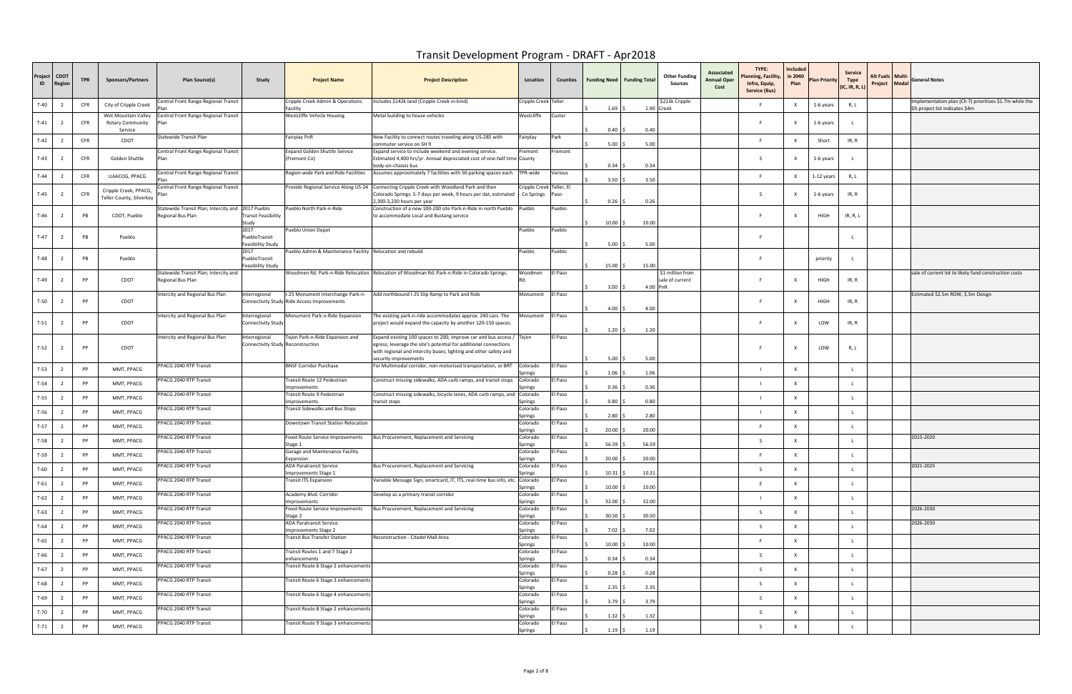| Project<br>ID | <b>CDOT</b><br><b>legio</b> | <b>TPR</b> | <b>Sponsors/Partners</b>                           | Plan Source(s)                                                         | Study                                             | <b>Project Name</b>                                                              | <b>Project Description</b>                                                                                                                                                                                                             | Location                 |         | Counties   Funding Need   Funding Total |       | <b>Other Funding</b><br>Sources                 | Associated<br><b>Annual Oper</b><br>Cost | TYPE:<br>lanning, Facility<br>Infra, Equip,<br><b>Service (Bus)</b> | Included<br>in 2040<br>Plan | <b>Plan Priority</b> | Service<br>Type<br>(IC, IR, R, L) | Alt Fuels   Multi·<br>Project Modal | <b>General Notes</b>                                                                      |
|---------------|-----------------------------|------------|----------------------------------------------------|------------------------------------------------------------------------|---------------------------------------------------|----------------------------------------------------------------------------------|----------------------------------------------------------------------------------------------------------------------------------------------------------------------------------------------------------------------------------------|--------------------------|---------|-----------------------------------------|-------|-------------------------------------------------|------------------------------------------|---------------------------------------------------------------------|-----------------------------|----------------------|-----------------------------------|-------------------------------------|-------------------------------------------------------------------------------------------|
| $T-40$        |                             | <b>CFR</b> | City of Cripple Creek                              | Central Front Range Regional Transit                                   |                                                   | Cripple Creek Admin & Operations<br>Facility                                     | Includes \$142k land (Cripple Creek in-kind)                                                                                                                                                                                           | Cripple Creek Teller     |         | 1.69                                    |       | \$213k Cripple<br>1.90 Creek                    |                                          |                                                                     |                             | 1-6 years            | R, L                              |                                     | Implementation plan (Ch 7) prioritizes \$1.7m while the<br>D5 project list indicates \$4m |
| $T-41$        |                             | <b>CFR</b> | Wet Mountain Valley<br>Rotary Community<br>Service | Central Front Range Regional Transit<br>'lan                           |                                                   | Westcliffe Vehicle Housing                                                       | Metal building to house vehicles                                                                                                                                                                                                       | Westcliffe               | Custer  | 0.40                                    | 0.40  |                                                 |                                          |                                                                     |                             | 1-6 years            |                                   |                                     |                                                                                           |
| $T-42$        | - 2                         | <b>CFR</b> | CDOT                                               | Statewide Transit Plan                                                 |                                                   | Fairplay PnR                                                                     | New Facility to connect routes traveling along US-285 with<br>commuter service on SH 9                                                                                                                                                 | Fairplay                 | Park    | 5.00                                    | 5.00  |                                                 |                                          |                                                                     |                             | Short                | IR, R                             |                                     |                                                                                           |
| $T-43$        |                             | <b>CFR</b> | Golden Shuttle                                     | Central Front Range Regional Transit<br>Plan                           |                                                   | <b>Expand Golden Shuttle Service</b><br>(Fremont Co)                             | Expand service to include weekend and evening service.<br>Estimated 4,400 hrs/yr. Annual depreciated cost of one-half time County<br>body-on-chassis bus                                                                               | Fremont                  | Fremont | 0.34                                    | 0.34  |                                                 |                                          | -S                                                                  |                             | 1-6 years            |                                   |                                     |                                                                                           |
| $T-44$        |                             | <b>CFR</b> | UAACOG, PPACG                                      | Central Front Range Regional Transit                                   |                                                   | Region-wide Park and Ride Facilities                                             | Assumes approximately 7 facilities with 50 parking spaces each                                                                                                                                                                         | TPR-wide                 | Various | 3.50                                    | 3.50  |                                                 |                                          |                                                                     |                             | 1-12 years           | R, L                              |                                     |                                                                                           |
| $T-45$        |                             | <b>CFR</b> | Cripple Creek, PPACG,<br>Teller County, Silverkey  | Central Front Range Regional Transit<br>Plan                           |                                                   |                                                                                  | Provide Regional Service Along US-24 Connecting Cripple Creek with Woodland Park and then<br>Colorado Springs. 5-7 days per week, 9 hours per dat, estimated - Co Springs<br>2,300-3,230 hours per year                                | Cripple Creek Teller, El | Paso    | 0.26                                    | 0.26  |                                                 |                                          | S.                                                                  |                             | 1-6 years            | IR, R                             |                                     |                                                                                           |
| $T-46$        |                             | PB         | CDOT, Pueblo                                       | Statewide Transit Plan; Intercity and 2017 Pueblo<br>Regional Bus Plan | ransit Feasibility<br>Study                       | Pueblo North Park-n-Ride                                                         | Construction of a new 100-200 site Park-n-Ride in north Pueblo Pueblo<br>to accommodate Local and Bustang service                                                                                                                      |                          | Pueblo  | 10.00                                   | 10.00 |                                                 |                                          |                                                                     |                             | HIGH                 | IR, R, L                          |                                     |                                                                                           |
| $T-47$        |                             | PB         | Pueblo                                             |                                                                        | 2017<br>PuebloTransit                             | Pueblo Union Depot                                                               |                                                                                                                                                                                                                                        | Pueblo                   | Pueblo  |                                         |       |                                                 |                                          |                                                                     |                             |                      |                                   |                                     |                                                                                           |
|               |                             |            |                                                    |                                                                        | Feasibility Study                                 |                                                                                  |                                                                                                                                                                                                                                        |                          |         | 5.00                                    | 5.00  |                                                 |                                          |                                                                     |                             |                      |                                   |                                     |                                                                                           |
| $T-48$        |                             | PB         | Pueblo                                             |                                                                        | 2017<br>PuebloTransit<br>easibility Study         | Pueblo Admin & Maintenance Facility Relocation and rebuild                       |                                                                                                                                                                                                                                        | Pueblo                   | Pueblo  | 15.00                                   | 15.00 |                                                 |                                          |                                                                     |                             | priority             |                                   |                                     |                                                                                           |
| $T-49$        |                             | PP         | CDOT                                               | Statewide Transit Plan; Intercity and<br>Regional Bus Plan             |                                                   |                                                                                  | Woodmen Rd. Park-n-Ride Relocation   Relocation of Woodman Rd. Park-n-Ride in Colorado Springs                                                                                                                                         | Voodmen                  | El Paso | 3.00                                    |       | \$1 million from<br>sale of current<br>4.00 PnR |                                          |                                                                     |                             | HIGH                 | IR, R                             |                                     | sale of current lot to likely fund construction costs                                     |
| $T-50$        |                             | PP         | CDOT                                               | ntercity and Regional Bus Plan                                         | iterregional                                      | I-25 Monument Interchange Park-n-<br>Connectivity Study Ride Access Improvements | Add northbound I-25 Slip Ramp to Park and Ride                                                                                                                                                                                         | Monument                 | El Paso | 4.00                                    | 4.00  |                                                 |                                          |                                                                     | X                           | HIGH                 | IR, R                             |                                     | Estimated \$2.5m ROW, \$.5m Design                                                        |
| $T-51$        |                             | PP         | CDOT                                               | ntercity and Regional Bus Plan                                         | iterregional<br>Connectivity Study                | Monument Park-n-Ride Expansion                                                   | he existing park-n-ride accommodates approx. 240 cars. The<br>project would expand the capacity by another 120-150 spaces.                                                                                                             | Monument                 | El Paso | 1.20                                    | 1.20  |                                                 |                                          | E.                                                                  |                             | LOW                  | IR, R                             |                                     |                                                                                           |
| $T-52$        |                             | PP         | CDOT                                               | ntercity and Regional Bus Plan                                         | nterregional<br>Connectivity Study Reconstruction | Tejon Park-n-Ride Expansion and                                                  | Expand existing 100 spaces to 200; improve car and bus access / Tejon<br>egress; leverage the site's potential for additional connections<br>with regional and intercity buses; lighting and other safety and<br>security improvements |                          | El Paso | 5.00                                    | 5.00  |                                                 |                                          |                                                                     |                             | LOW                  | R, L                              |                                     |                                                                                           |
| $T-53$        |                             | PP         | MMT, PPACG                                         | PPACG 2040 RTP Transit                                                 |                                                   | <b>BNSF Corridor Purchase</b>                                                    | For Multimodal corridor, non-motorized transportation, or BRT Colorado                                                                                                                                                                 | Springs                  | El Paso | 1.06                                    | 1.06  |                                                 |                                          | - 1                                                                 | $\times$                    |                      |                                   |                                     |                                                                                           |
| $T-54$        |                             | PP         | MMT, PPACG                                         | PPACG 2040 RTP Transit                                                 |                                                   | Transit Route 12 Pedestrian<br>mprovements                                       | Construct missing sidewalks, ADA curb ramps, and transit stops                                                                                                                                                                         | Colorado<br>prings       | l Paso  | 0.36                                    | 0.36  |                                                 |                                          |                                                                     |                             |                      |                                   |                                     |                                                                                           |
| $T-55$        | $\overline{2}$              | PP         | MMT, PPACG                                         | PPACG 2040 RTP Transit                                                 |                                                   | Transit Route 9 Pedestrian<br>mprovements                                        | Construct missing sidewalks, bicycle lanes, ADA curb ramps, and Colorado<br>transit stops                                                                                                                                              | Springs                  | El Paso | 0.80                                    | 0.80  |                                                 |                                          |                                                                     |                             |                      |                                   |                                     |                                                                                           |
| $T-56$        |                             | PP         | MMT, PPACG                                         | PPACG 2040 RTP Transit                                                 |                                                   | Transit Sidewalks and Bus Stops                                                  |                                                                                                                                                                                                                                        | Colorado<br>Springs      | El Paso | 2.80                                    | 2.80  |                                                 |                                          |                                                                     |                             |                      |                                   |                                     |                                                                                           |
| $T-57$        |                             | PP         | MMT, PPACG                                         | PPACG 2040 RTP Transit                                                 |                                                   | Downtown Transit Station Relocation                                              |                                                                                                                                                                                                                                        | Colorado<br>Springs      | El Paso | 20.00                                   | 20.00 |                                                 |                                          |                                                                     |                             |                      |                                   |                                     |                                                                                           |
| $T-58$        |                             | PP         | MMT, PPACG                                         | PPACG 2040 RTP Transit                                                 |                                                   | Fixed Route Service Improvements<br>Stage 1                                      | Bus Procurement, Replacement and Servicing                                                                                                                                                                                             | Colorado<br>Springs      | El Paso | 56.59                                   | 56.59 |                                                 |                                          | S.                                                                  |                             |                      |                                   |                                     | 2015-2020                                                                                 |
| $T-59$        |                             | PP         | MMT, PPACG                                         | PPACG 2040 RTP Transit                                                 |                                                   | Garage and Maintenance Facility<br>Expansion                                     |                                                                                                                                                                                                                                        | Colorado<br>Springs      | El Paso | 20.00                                   | 20.00 |                                                 |                                          |                                                                     |                             |                      |                                   |                                     |                                                                                           |
| $T-60$        | $\overline{2}$              | PP         | MMT, PPACG                                         | PPACG 2040 RTP Transit                                                 |                                                   | <b>ADA Paratransit Service</b><br>mprovements Stage 1                            | Bus Procurement, Replacement and Servicing                                                                                                                                                                                             | Colorado<br>Springs      | El Paso | 10.31                                   | 10.31 |                                                 |                                          | S.                                                                  | $\mathsf{x}$                |                      |                                   |                                     | 2021-2025                                                                                 |
| $T-61$        | $\overline{2}$              | PP         | MMT, PPACG                                         | PPACG 2040 RTP Transit                                                 |                                                   | <b>Transit ITS Expansion</b>                                                     | Variable Message Sign, smartcard, IT, ITS, real-time bus info, etc.                                                                                                                                                                    | Colorado<br>Springs      | El Paso | 10.00                                   | 10.00 |                                                 |                                          |                                                                     | $\mathsf{x}$                |                      |                                   |                                     |                                                                                           |
| $T-62$        | $\overline{2}$              | PP         | MMT, PPACG                                         | PPACG 2040 RTP Transit                                                 |                                                   | Academy Blvd. Corridor<br>mprovements                                            | Develop as a primary transit corridor                                                                                                                                                                                                  | Colorado<br>Springs      | El Paso | 32.00                                   | 32.00 |                                                 |                                          |                                                                     |                             |                      |                                   |                                     |                                                                                           |
| $T-63$        | $\overline{2}$              | PP         | MMT, PPACG                                         | PPACG 2040 RTP Transit                                                 |                                                   | Fixed Route Service Improvements<br>Stage 2                                      | Bus Procurement, Replacement and Servicing                                                                                                                                                                                             | Colorado<br>Springs      | El Paso | 30.50                                   | 30.50 |                                                 |                                          | -S                                                                  | X                           |                      |                                   |                                     | 2026-2030                                                                                 |
| $T-64$        | $\overline{2}$              | PP         | MMT, PPACG                                         | PPACG 2040 RTP Transit                                                 |                                                   | ADA Paratransit Service<br>mprovements Stage 2                                   |                                                                                                                                                                                                                                        | Colorado<br>Springs      | El Paso | 7.02                                    | 7.02  |                                                 |                                          | S.                                                                  | X                           |                      |                                   |                                     | 2026-2030                                                                                 |
| $T-65$        | $\overline{2}$              | PP         | MMT, PPACG                                         | PPACG 2040 RTP Transit                                                 |                                                   | Transit Bus Transfer Station                                                     | Reconstruction - Citadel Mall Area                                                                                                                                                                                                     | Colorado<br>Springs      | El Paso | 10.00                                   | 10.00 |                                                 |                                          |                                                                     |                             |                      |                                   |                                     |                                                                                           |
| T-66          | $\overline{2}$              | PP         | MMT, PPACG                                         | PPACG 2040 RTP Transit                                                 |                                                   | Transit Routes 1 and 7 Stage 2<br>enhancements                                   |                                                                                                                                                                                                                                        | Colorado<br>Springs      | El Paso | 0.34                                    | 0.34  |                                                 |                                          | -S                                                                  | $\mathbf{x}$                |                      |                                   |                                     |                                                                                           |
| $T-67$        | $\overline{2}$              | PP         | MMT, PPACG                                         | PPACG 2040 RTP Transit                                                 |                                                   | Transit Route 6 Stage 2 enhancements                                             |                                                                                                                                                                                                                                        | Colorado<br>Springs      | El Paso | 0.28                                    | 0.28  |                                                 |                                          | -S                                                                  | $\mathsf{x}$                |                      |                                   |                                     |                                                                                           |
| $T-68$        | $\overline{2}$              | PP         | MMT, PPACG                                         | PPACG 2040 RTP Transit                                                 |                                                   | Transit Route 6 Stage 3 enhancements                                             |                                                                                                                                                                                                                                        | Colorado<br>Springs      | El Paso | 2.35                                    | 2.35  |                                                 |                                          | S.                                                                  |                             |                      |                                   |                                     |                                                                                           |
| $T-69$        | $\overline{2}$              | PP         | MMT, PPACG                                         | PPACG 2040 RTP Transit                                                 |                                                   | Fransit Route 6 Stage 4 enhancements                                             |                                                                                                                                                                                                                                        | Colorado<br>Springs      | El Paso | 3.79                                    | 3.79  |                                                 |                                          | -S                                                                  | X                           |                      |                                   |                                     |                                                                                           |
| $T-70$        | $\overline{2}$              | PP         | MMT, PPACG                                         | PPACG 2040 RTP Transit                                                 |                                                   | Transit Route 8 Stage 2 enhancements                                             |                                                                                                                                                                                                                                        | Colorado<br>Springs      | El Paso | 1.32                                    | 1.32  |                                                 |                                          | -S                                                                  |                             |                      |                                   |                                     |                                                                                           |
| $T-71$        | $\overline{2}$              | PP         | MMT, PPACG                                         | PPACG 2040 RTP Transit                                                 |                                                   | Transit Route 9 Stage 3 enhancements                                             |                                                                                                                                                                                                                                        | Colorado<br>Springs      | El Paso | 1.19                                    | 1.19  |                                                 |                                          | -S                                                                  | $\mathsf{x}$                |                      |                                   |                                     |                                                                                           |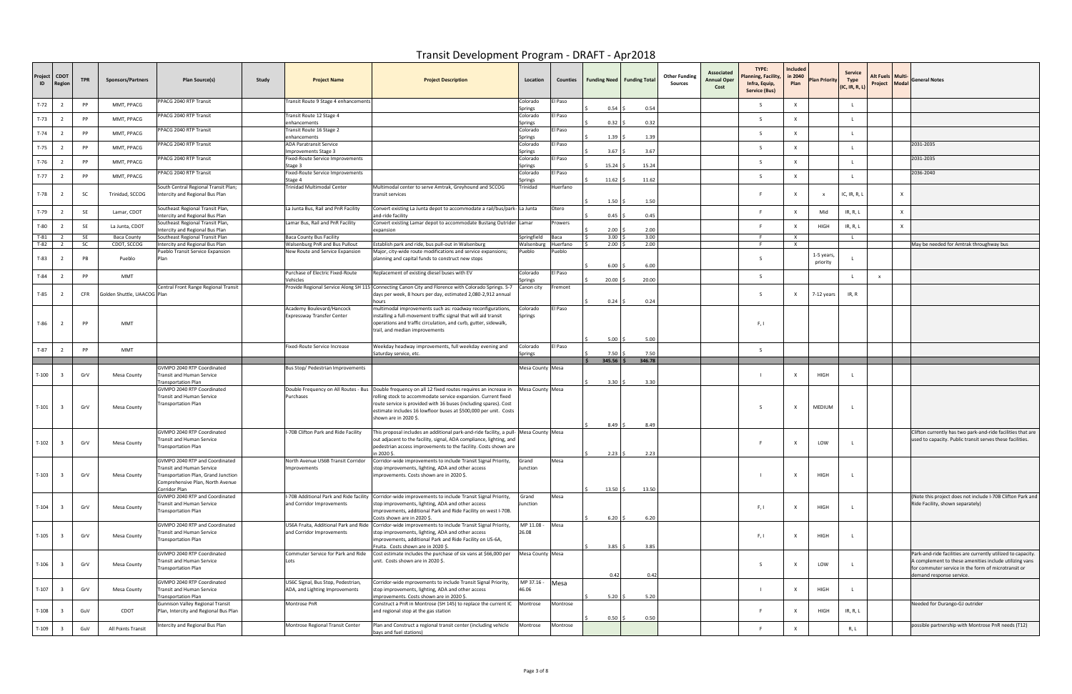| Project<br>ID | <b>CDOT</b><br>Regior   | <b>TPR</b> | <b>Sponsors/Partners</b>    | Plan Source(s)                                                                                                                                          | Study | <b>Project Name</b>                                                  | <b>Project Description</b>                                                                                                                                                                                                                                                                                                               | Location                   | Counties           | <b>Funding Need Funding Total</b> |        | <b>Other Funding</b><br>Sources | Associated<br><b>Annual Oper</b><br>Cost | TYPE:<br><b>Planning, Facility</b><br>Infra, Equip,<br>Service (Bus) | Included<br>in 2040<br>Plan | <b>Plan Priority</b>   | Service<br>Type<br>(IC, IR, R, L) | Alt Fuels   Multi-<br>Project Modal |              | <b>General Notes</b>                                                                                                                                                                                      |
|---------------|-------------------------|------------|-----------------------------|---------------------------------------------------------------------------------------------------------------------------------------------------------|-------|----------------------------------------------------------------------|------------------------------------------------------------------------------------------------------------------------------------------------------------------------------------------------------------------------------------------------------------------------------------------------------------------------------------------|----------------------------|--------------------|-----------------------------------|--------|---------------------------------|------------------------------------------|----------------------------------------------------------------------|-----------------------------|------------------------|-----------------------------------|-------------------------------------|--------------|-----------------------------------------------------------------------------------------------------------------------------------------------------------------------------------------------------------|
| $T-72$        |                         | PP         | MMT, PPACG                  | PPACG 2040 RTP Transit                                                                                                                                  |       | Transit Route 9 Stage 4 enhancements                                 |                                                                                                                                                                                                                                                                                                                                          | Colorado<br>Springs        | El Paso            | 0.54                              | 0.54   |                                 |                                          | -S                                                                   | X                           |                        |                                   |                                     |              |                                                                                                                                                                                                           |
| $T-73$        |                         | PP         | MMT, PPACG                  | PPACG 2040 RTP Transit                                                                                                                                  |       | Transit Route 12 Stage 4<br>enhancements                             |                                                                                                                                                                                                                                                                                                                                          | Colorado<br>Springs        | El Paso            | 0.32                              | 0.32   |                                 |                                          | S.                                                                   | $\boldsymbol{\mathsf{x}}$   |                        |                                   |                                     |              |                                                                                                                                                                                                           |
| $T-74$        |                         | PP         | MMT, PPACG                  | PPACG 2040 RTP Transit                                                                                                                                  |       | Transit Route 16 Stage 2<br>enhancements                             |                                                                                                                                                                                                                                                                                                                                          | Colorado<br>Springs        | El Paso            | 1.39                              | 1.39   |                                 |                                          | S.                                                                   | $\mathsf{x}$                |                        |                                   |                                     |              |                                                                                                                                                                                                           |
| $T-75$        |                         | PP         | MMT, PPACG                  | PPACG 2040 RTP Transit                                                                                                                                  |       | ADA Paratransit Service<br>Improvements Stage 3                      |                                                                                                                                                                                                                                                                                                                                          | Colorado<br>Springs        | El Paso            | 3.67                              | 3.67   |                                 |                                          | S.                                                                   | X                           |                        |                                   |                                     |              | 2031-2035                                                                                                                                                                                                 |
| $T-76$        |                         | PP         | MMT, PPACG                  | PPACG 2040 RTP Transit                                                                                                                                  |       | Fixed-Route Service Improvements<br>Stage 3                          |                                                                                                                                                                                                                                                                                                                                          | Colorado<br>Springs        | El Paso            | 15.24                             | 15.24  |                                 |                                          | S.                                                                   | X                           |                        |                                   |                                     |              | 2031-2035                                                                                                                                                                                                 |
| $T-77$        |                         | PP         | MMT, PPACG                  | PPACG 2040 RTP Transit                                                                                                                                  |       | <b>Fixed-Route Service Improvements</b><br>Stage 4                   |                                                                                                                                                                                                                                                                                                                                          | Colorado<br>Springs        | El Paso            | 11.62                             | 11.62  |                                 |                                          | S.                                                                   | X                           |                        |                                   |                                     |              | 2036-2040                                                                                                                                                                                                 |
| $T-78$        |                         | <b>SC</b>  | Trinidad, SCCOG             | South Central Regional Transit Plan;<br>Intercity and Regional Bus Plan                                                                                 |       | Trinidad Multimodal Center                                           | Multimodal center to serve Amtrak, Greyhound and SCCOG<br>transit services                                                                                                                                                                                                                                                               | Trinidad                   | Huerfano           | 1.50                              | 1.50   |                                 |                                          |                                                                      | X                           |                        | IC, IR, R, $1$                    |                                     | $\mathsf{x}$ |                                                                                                                                                                                                           |
| T-79          | $\overline{2}$          | <b>SE</b>  | Lamar, CDOT                 | Southeast Regional Transit Plan,                                                                                                                        |       | La Junta Bus, Rail and PnR Facility                                  | Convert existing La Junta depot to accommodate a rail/bus/park-La Junta<br>and-ride facility                                                                                                                                                                                                                                             |                            | Otero              | 0.45                              | 0.45   |                                 |                                          | $\mathbf{F}$                                                         | X                           | Mid                    | IR, R, L                          |                                     | $\mathsf{X}$ |                                                                                                                                                                                                           |
| T-80          |                         | SE         | La Junta, CDOT              | ntercity and Regional Bus Plan<br>Southeast Regional Transit Plan,                                                                                      |       | Lamar Bus, Rail and PnR Facility                                     | Convert existing Lamar depot to accommodate Bustang Outrider Lamar                                                                                                                                                                                                                                                                       |                            | Prowers            | 2.00                              | 2.00   |                                 |                                          |                                                                      | $\boldsymbol{\mathsf{x}}$   | <b>HIGH</b>            | IR, R, L                          |                                     | $\mathbf{x}$ |                                                                                                                                                                                                           |
| $T-81$        | $\overline{z}$          | <b>SE</b>  | <b>Baca County</b>          | ntercity and Regional Bus Plan<br>Southeast Regional Transit Plan                                                                                       |       | <b>Baca County Bus Facility</b>                                      | expansion                                                                                                                                                                                                                                                                                                                                | Springfield                | Baca               | 3.00                              | 3.00   |                                 |                                          | E.                                                                   | $\mathsf{X}$                |                        |                                   |                                     |              |                                                                                                                                                                                                           |
| $T-82$        |                         | <b>SC</b>  | CDOT, SCCOG                 | Intercity and Regional Bus Plan<br>Pueblo Transit Service Expansion                                                                                     |       | Walsenburg PnR and Bus Pullout<br>New Route and Service Expansion    | Establish park and ride, bus pull-out in Walsenburg<br>Major, city-wide route modifications and service expansions;                                                                                                                                                                                                                      | Walsenburg<br>Pueblo       | Huerfano<br>Pueblo | 2.00                              | 2.00   |                                 |                                          | - F                                                                  | $\mathsf{X}$                |                        |                                   |                                     |              | May be needed for Amtrak throughway bus                                                                                                                                                                   |
| $T-83$        |                         | PB         | Pueblo                      | Plan                                                                                                                                                    |       |                                                                      | planning and capital funds to construct new stops                                                                                                                                                                                                                                                                                        |                            |                    | 6.00                              | 6.00   |                                 |                                          |                                                                      |                             | 1-5 years,<br>priority |                                   |                                     |              |                                                                                                                                                                                                           |
| T-84          |                         | PP         | MMT                         |                                                                                                                                                         |       | Purchase of Electric Fixed-Route<br>Vehicles                         | Replacement of existing diesel buses with EV                                                                                                                                                                                                                                                                                             | Colorado<br>Springs        | El Paso            | 20.00                             | 20.00  |                                 |                                          | -S                                                                   |                             |                        |                                   | X                                   |              |                                                                                                                                                                                                           |
| $T-85$        |                         | <b>CFR</b> | iolden Shuttle, UAACOG Plan | Central Front Range Regional Transit                                                                                                                    |       |                                                                      | Provide Regional Service Along SH 115 Connecting Canon City and Florence with Colorado Springs. 5-7 Canon city<br>days per week, 8 hours per day, estimated 2,080-2,912 annual<br>hours                                                                                                                                                  |                            | Fremont            | 0.24                              | 0.24   |                                 |                                          | -S                                                                   | $\times$                    | 7-12 years             | IR, R                             |                                     |              |                                                                                                                                                                                                           |
| T-86          |                         | PP         | <b>MMT</b>                  |                                                                                                                                                         |       | Academy Boulevard/Hancock<br>Expressway Transfer Center              | multimodal improvements such as: roadway reconfigurations,<br>installing a full-movement traffic signal that will aid transit<br>operations and traffic circulation, and curb, gutter, sidewalk,<br>trail, and median improvements                                                                                                       | Colorado<br>Springs        | El Paso            | 5.00                              | 5.00   |                                 |                                          | F, I                                                                 |                             |                        |                                   |                                     |              |                                                                                                                                                                                                           |
| $T-87$        |                         | PP         | <b>MMT</b>                  |                                                                                                                                                         |       | Fixed-Route Service Increase                                         | Weekday headway improvements, full weekday evening and<br>Saturday service, etc.                                                                                                                                                                                                                                                         | Colorado<br>Springs        | El Paso            | 7.50                              | 7.50   |                                 |                                          | S.                                                                   |                             |                        |                                   |                                     |              |                                                                                                                                                                                                           |
|               |                         |            |                             |                                                                                                                                                         |       |                                                                      |                                                                                                                                                                                                                                                                                                                                          |                            |                    | $345.56$ \$                       | 346.78 |                                 |                                          |                                                                      |                             |                        |                                   |                                     |              |                                                                                                                                                                                                           |
| $T-100$       |                         | GrV        | <b>Mesa County</b>          | GVMPO 2040 RTP Coordinated<br>Fransit and Human Service<br>ransportation Plan                                                                           |       | Bus Stop/ Pedestrian Improvements                                    |                                                                                                                                                                                                                                                                                                                                          | Mesa County Mesa           |                    | 3.30                              | 3.30   |                                 |                                          |                                                                      | $\mathsf{X}$                | HIGH                   |                                   |                                     |              |                                                                                                                                                                                                           |
| $T-101$       | 3                       | GrV        | Mesa County                 | GVMPO 2040 RTP Coordinated<br>Fransit and Human Service<br>ransportation Plan                                                                           |       | Purchases                                                            | Double Frequency on All Routes - Bus   Double frequency on all 12 fixed routes requires an increase in<br>rolling stock to accommodate service expansion. Current fixed<br>route service is provided with 16 buses (including spares). Cost<br>estimate includes 16 lowfloor buses at \$500,000 per unit. Costs<br>shown are in 2020 \$. | Mesa County Mesa           |                    | 8.49                              | 8.49   |                                 |                                          | $\sim$                                                               | $\mathsf{X}$                | MEDIUM                 |                                   |                                     |              |                                                                                                                                                                                                           |
| $T-102$       | -3                      | GrV        | Mesa County                 | GVMPO 2040 RTP Coordinated<br>ransit and Human Service<br>ransportation Plan                                                                            |       | I-70B Clifton Park and Ride Facility                                 | his proposal includes an additional park-and-ride facility, a pull- Mesa County Mesa<br>out adjacent to the facility, signal, ADA compliance, lighting, and<br>pedestrian access improvements to the facility. Costs shown are<br>n 2020 \$.                                                                                             |                            |                    | $2.23 \,$ S                       | 2.23   |                                 |                                          |                                                                      | X                           | LOW                    |                                   |                                     |              | Clifton currently has two park-and-ride facilities that are<br>used to capacity. Public transit serves these facilities.                                                                                  |
| $T-103$       | $\overline{\mathbf{3}}$ | GrV        | <b>Mesa County</b>          | GVMPO 2040 RTP and Coordinated<br>Fransit and Human Service<br>Fransportation Plan, Grand Junction<br>Comprehensive Plan, North Avenue<br>Corridor Plan |       | North Avenue US6B Transit Corridor<br>Improvements                   | Corridor-wide improvements to include Transit Signal Priority,<br>stop improvements, lighting, ADA and other access<br>improvements. Costs shown are in 2020 \$.                                                                                                                                                                         | Grand<br>Junction          | Mesa               | $13.50$ \$                        | 13.50  |                                 |                                          |                                                                      | X                           | HIGH                   |                                   |                                     |              |                                                                                                                                                                                                           |
| $T-104$       | $\overline{\mathbf{3}}$ | GrV        | <b>Mesa County</b>          | GVMPO 2040 RTP and Coordinated<br>ransit and Human Service<br><b>Fransportation Plan</b>                                                                |       | and Corridor Improvements                                            | I-70B Additional Park and Ride facility Corridor-wide improvements to include Transit Signal Priority,<br>stop improvements, lighting, ADA and other access<br>improvements, additional Park and Ride Facility on west I-70B.<br>Costs shown are in 2020 \$.                                                                             | Grand<br>Junction          | Mesa               | 6.20                              | 6.20   |                                 |                                          | F, I                                                                 | $\mathsf{X}$                | HIGH                   |                                   |                                     |              | (Note this project does not include I-70B Clifton Park and<br>Ride Facility, shown separately)                                                                                                            |
| $T-105$       | $\overline{3}$          | GrV        | <b>Mesa County</b>          | GVMPO 2040 RTP and Coordinated<br>ransit and Human Service<br>ransportation Plan                                                                        |       | and Corridor Improvements                                            | US6A Fruita, Additional Park and Ride Corridor-wide improvements to include Transit Signal Priority,<br>stop improvements, lighting, ADA and other access<br>improvements, additional Park and Ride Facility on US-6A,<br>Fruita. Costs shown are in 2020 \$.                                                                            | MP 11.08 - Mesa<br>26.08   |                    | 3.85                              | 3.85   |                                 |                                          | F, I                                                                 | X                           | HIGH                   |                                   |                                     |              |                                                                                                                                                                                                           |
| T-106         | -3                      | GrV        | <b>Mesa County</b>          | <b>GVMPO 2040 RTP Coordinated</b><br>ransit and Human Service<br>ransportation Plan                                                                     |       | Commuter Service for Park and Ride<br>Lots                           | Cost estimate includes the purchase of six vans at \$66,000 per<br>unit. Costs shown are in 2020 \$.                                                                                                                                                                                                                                     | Mesa County Mesa           |                    | 0.42                              | 0.42   |                                 |                                          | S.                                                                   | X                           | LOW                    |                                   |                                     |              | Park-and-ride facilities are currently utilized to capacity.<br>A complement to these amenities include utilizing vans<br>for commuter service in the form of microtransit or<br>demand response service. |
| $T-107$       |                         | GrV        | Mesa County                 | GVMPO 2040 RTP Coordinated<br>ransit and Human Service<br><b>Fransportation Plan</b>                                                                    |       | US6C Signal, Bus Stop, Pedestrian,<br>ADA, and Lighting Improvements | Corridor-wide mprovements to include Transit Signal Priority,<br>stop improvements, lighting, ADA and other access<br>improvements. Costs shown are in 2020 \$.                                                                                                                                                                          | $MP 37.16 - Mesa$<br>46.06 |                    | 5.20                              | 5.20   |                                 |                                          |                                                                      | $\mathsf{X}$                | HIGH                   |                                   |                                     |              |                                                                                                                                                                                                           |
| T-108         |                         | GuV        | CDOT                        | Gunnison Valley Regional Transit<br>Plan, Intercity and Regional Bus Plan                                                                               |       | Montrose PnR                                                         | Construct a PnR in Montrose (SH 145) to replace the current IC Montrose<br>and regional stop at the gas station                                                                                                                                                                                                                          |                            | Montrose           | 0.50                              | 0.50   |                                 |                                          |                                                                      | $\times$                    | HIGH                   | IR, R, L                          |                                     |              | Needed for Durango-GJ outrider                                                                                                                                                                            |
| $T-109$       |                         | GuV        | All Points Transit          | ntercity and Regional Bus Plan                                                                                                                          |       | Montrose Regional Transit Center                                     | Plan and Construct a regional transit center (including vehicle<br>bays and fuel stations)                                                                                                                                                                                                                                               | Montrose                   | Montrose           |                                   |        |                                 |                                          |                                                                      | $\mathsf{x}$                |                        | R, L                              |                                     |              | possible partnership with Montrose PnR needs (T12)                                                                                                                                                        |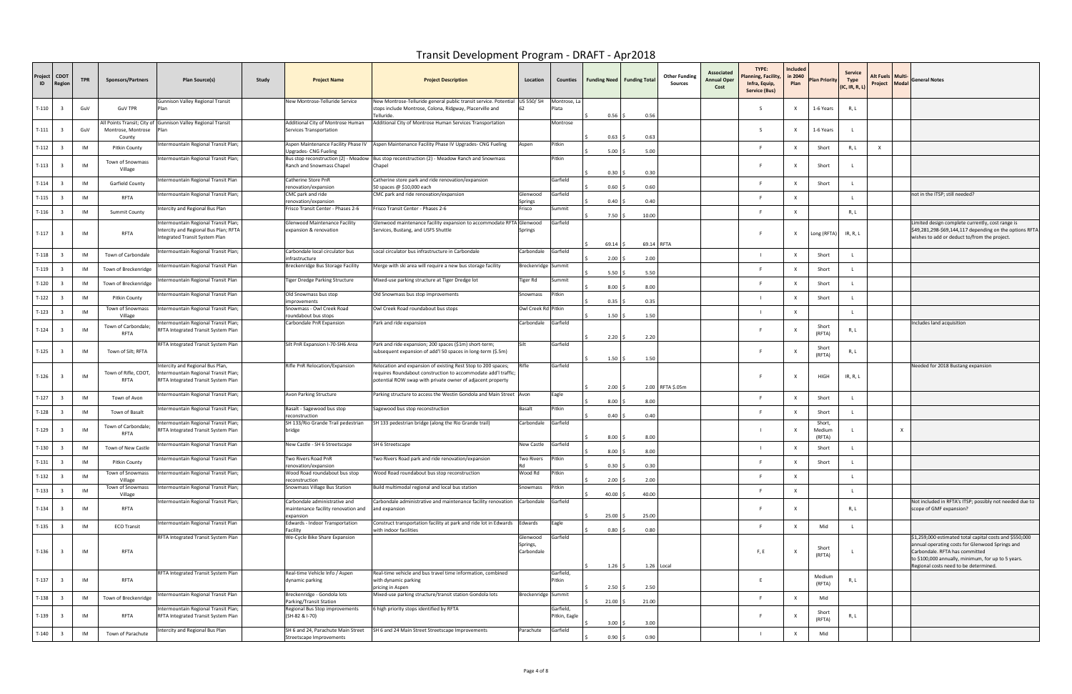| Project<br>ID | срот<br><b>Regior</b>   | <b>TPR</b> | <b>Sponsors/Partners</b>                                    | Plan Source(s)                                                                                                | Study | <b>Project Name</b>                                                               | <b>Project Description</b>                                                                                                                                                                    | Location                           | Counties                   | <b>Funding Need   Funding Total</b> |            | <b>Other Funding</b><br>Sources | Associated<br>Annual Oper<br>Cost | TYPE:<br><b>Planning, Facility,</b><br>Infra, Equip,<br>Service (Bus) | Included<br>in 2040<br>Plan | Plan Priority              | <b>Service</b><br>Type<br>(IC, IR, R, L) | Alt Fuels   Multi-<br>Project Modal |              | <b>General Notes</b>                                                                                                                                                                               |
|---------------|-------------------------|------------|-------------------------------------------------------------|---------------------------------------------------------------------------------------------------------------|-------|-----------------------------------------------------------------------------------|-----------------------------------------------------------------------------------------------------------------------------------------------------------------------------------------------|------------------------------------|----------------------------|-------------------------------------|------------|---------------------------------|-----------------------------------|-----------------------------------------------------------------------|-----------------------------|----------------------------|------------------------------------------|-------------------------------------|--------------|----------------------------------------------------------------------------------------------------------------------------------------------------------------------------------------------------|
| $T-110$       |                         | GuV        | <b>GuV TPR</b>                                              | Gunnison Valley Regional Transit                                                                              |       | New Montrose-Telluride Service                                                    | New Montrose-Telluride general public transit service. Potential<br>stops include Montrose, Colona, Ridgway, Placerville and<br>Telluride.                                                    | US 550/ SH                         | Montrose, La<br>Plata      | 0.56                                | 0.56       |                                 |                                   | -S                                                                    | X                           | 1-6 Years                  | R, L                                     |                                     |              |                                                                                                                                                                                                    |
| $T-111$       | -3                      | GuV        | All Points Transit; City of<br>Montrose, Montrose<br>County | Gunnison Valley Regional Transit<br>Plar                                                                      |       | Additional City of Montrose Human<br>Services Transportation                      | Additional City of Montrose Human Services Transportation                                                                                                                                     |                                    | Montrose                   | 0.63                                | 0.63       |                                 |                                   | S.                                                                    | X                           | 1-6 Years                  |                                          |                                     |              |                                                                                                                                                                                                    |
| $T-112$       |                         | IM         | <b>Pitkin County</b>                                        | ntermountain Regional Transit Plan;                                                                           |       | Aspen Maintenance Facility Phase IV<br>Upgrades- CNG Fueling                      | Aspen Maintenance Facility Phase IV Upgrades- CNG Fueling                                                                                                                                     | Aspen                              | Pitkin                     | 5.00                                | 5.00       |                                 |                                   |                                                                       | X                           | Short                      | R, L                                     | $\mathsf{X}$                        |              |                                                                                                                                                                                                    |
| $T-113$       |                         | IM         | Town of Snowmass<br>Village                                 | ntermountain Regional Transit Plan;                                                                           |       | Ranch and Snowmass Chapel                                                         | Bus stop reconstruction (2) - Meadow Bus stop reconstruction (2) - Meadow Ranch and Snowmass<br>Chapel                                                                                        |                                    | Pitkin                     | 0.30                                | 0.30       |                                 |                                   |                                                                       | X                           | Short                      |                                          |                                     |              |                                                                                                                                                                                                    |
| $T-114$       | $\overline{\mathbf{3}}$ | IM         | Garfield County                                             | ntermountain Regional Transit Plan                                                                            |       | Catherine Store PnR<br>renovation/expansion                                       | Catherine store park and ride renovation/expansion<br>50 spaces @ \$10,000 each                                                                                                               |                                    | Garfield                   | 0.60                                | 0.60       |                                 |                                   |                                                                       | X                           | Short                      |                                          |                                     |              |                                                                                                                                                                                                    |
| $T-115$       | $\overline{\mathbf{3}}$ | IM         | RFTA                                                        | ntermountain Regional Transit Plan;                                                                           |       | CMC park and ride<br>renovation/expansion                                         | CMC park and ride renovation/expansion                                                                                                                                                        | Glenwood<br>Springs                | Garfield                   | 0.40                                | 0.40       |                                 |                                   |                                                                       | X                           |                            |                                          |                                     |              | not in the ITSP; still needed?                                                                                                                                                                     |
| $T-116$       | $\overline{\mathbf{3}}$ | IM         | Summit County                                               | ntercity and Regional Bus Plan                                                                                |       | Frisco Transit Center - Phases 2-6                                                | Frisco Transit Center - Phases 2-6                                                                                                                                                            | Frisco                             | Summit                     | 7.50                                | 10.00      |                                 |                                   |                                                                       | $\boldsymbol{\mathsf{x}}$   |                            | R, L                                     |                                     |              |                                                                                                                                                                                                    |
| $T-117$       |                         | IM         | RFTA                                                        | ntermountain Regional Transit Plan;<br>ntercity and Regional Bus Plan; RFTA<br>ntegrated Transit System Plan  |       | Glenwood Maintenance Facility<br>expansion & renovation                           | Glenwood maintenance facility expansion to accommodate RFTA Glenwood<br>Services, Bustang, and USFS Shuttle                                                                                   | Springs                            | Garfield                   | 69.14                               | 69.14 RFTA |                                 |                                   |                                                                       | X                           | Long (RFTA)                | IR, R, L                                 |                                     |              | Limited design complete currently, cost range is<br>\$49,281,298-\$69,144,117 depending on the options RFTA<br>wishes to add or deduct to/from the project.                                        |
| $T-118$       |                         | IM         | Town of Carbondale                                          | ntermountain Regional Transit Plan;                                                                           |       | Carbondale local circulator bus<br>infrastructure                                 | Local circulator bus infrastructure in Carbondale                                                                                                                                             | Carbondale                         | Garfield                   | 2.00                                | 2.00       |                                 |                                   |                                                                       | $\times$                    | Short                      |                                          |                                     |              |                                                                                                                                                                                                    |
| $T-119$       | $\overline{\mathbf{3}}$ | IM         | Town of Breckenridge                                        | ntermountain Regional Transit Plan                                                                            |       | Breckenridge Bus Storage Facility                                                 | Merge with ski area will require a new bus storage facility                                                                                                                                   | Breckenridge Summit                |                            | 5.50                                | 5.50       |                                 |                                   |                                                                       | $\boldsymbol{\mathsf{x}}$   | Short                      |                                          |                                     |              |                                                                                                                                                                                                    |
| $T-120$       |                         | IM         | Town of Breckenridge                                        | itermountain Regional Transit Plan                                                                            |       | Tiger Dredge Parking Structure                                                    | Mixed-use parking structure at Tiger Dredge lot                                                                                                                                               | Tiger Rd                           | Summit                     | 8.00                                | 8.00       |                                 |                                   |                                                                       | $\boldsymbol{\mathsf{x}}$   | Short                      |                                          |                                     |              |                                                                                                                                                                                                    |
| $T-122$       | $\overline{\mathbf{3}}$ | IM         | <b>Pitkin County</b>                                        | ntermountain Regional Transit Plan                                                                            |       | Old Snowmass bus stop<br>improvements                                             | Old Snowmass bus stop improvements                                                                                                                                                            | Snowmass                           | Pitkin                     | 0.35                                | 0.35       |                                 |                                   |                                                                       | $\boldsymbol{\mathsf{x}}$   | Short                      |                                          |                                     |              |                                                                                                                                                                                                    |
| $T-123$       |                         | IM         | Town of Snowmass<br>Village                                 | ntermountain Regional Transit Plan;                                                                           |       | Snowmass - Owl Creek Road<br>roundabout bus stops                                 | Owl Creek Road roundabout bus stops                                                                                                                                                           | Owl Creek Rd Pitkin                |                            | 1.50                                | 1.50       |                                 |                                   |                                                                       | $\times$                    |                            |                                          |                                     |              |                                                                                                                                                                                                    |
| $T-124$       |                         | IM         | Town of Carbondale;<br>RFTA                                 | itermountain Regional Transit Plan;<br>RFTA Integrated Transit System Plan                                    |       | Carbondale PnR Expansion                                                          | Park and ride expansion                                                                                                                                                                       | Carbondale                         | Garfield                   | 2.20                                | 2.20       |                                 |                                   |                                                                       | X                           | Short<br>(RFTA)            | R, L                                     |                                     |              | Includes land acquisition                                                                                                                                                                          |
| $T-125$       |                         | IM         | Town of Silt; RFTA                                          | RFTA Integrated Transit System Plan                                                                           |       | Silt PnR Expansion I-70-SH6 Area                                                  | Park and ride expansion; 200 spaces (\$1m) short-term;<br>subsequent expansion of add'l 50 spaces in long-term (\$.5m)                                                                        | Silt                               | Garfield                   | 1.50                                | 1.50       |                                 |                                   |                                                                       | $\mathsf{X}$                | Short<br>(RFTA)            | R, L                                     |                                     |              |                                                                                                                                                                                                    |
| $T-126$       |                         | IM         | Town of Rifle, CDOT,<br>RFTA                                | ntercity and Regional Bus Plan,<br>ntermountain Regional Transit Plan;<br>RFTA Integrated Transit System Plan |       | Rifle PnR Relocation/Expansion                                                    | Relocation and expansion of existing Rest Stop to 200 spaces;<br>requires Roundabout construction to accommodate add'I traffic;<br>potential ROW swap with private owner of adjacent property |                                    | Garfield                   | 2.00                                |            | 2.00 RFTA \$.05m                |                                   |                                                                       | $\boldsymbol{\mathsf{x}}$   | HIGH                       | IR, R, L                                 |                                     |              | Needed for 2018 Bustang expansion                                                                                                                                                                  |
| $T-127$       |                         | IM         | Town of Avon                                                | ntermountain Regional Transit Plan;                                                                           |       | Avon Parking Structure                                                            | Parking structure to access the Westin Gondola and Main Street Avon                                                                                                                           |                                    | Eagle                      | 8.00                                | 8.00       |                                 |                                   |                                                                       | x                           | Short                      |                                          |                                     |              |                                                                                                                                                                                                    |
| $T-128$       | $\overline{\mathbf{3}}$ | IM         | Town of Basalt                                              | itermountain Regional Transit Plan;                                                                           |       | Basalt - Sagewood bus stop<br>reconstruction                                      | Sagewood bus stop reconstruction                                                                                                                                                              | <b>Basalt</b>                      | Pitkin                     | 0.40                                | 0.40       |                                 |                                   |                                                                       | $\times$                    | Short                      |                                          |                                     |              |                                                                                                                                                                                                    |
| $T-129$       |                         | IM         | Town of Carbondale;<br><b>RFTA</b>                          | itermountain Regional Transit Plan;<br>RFTA Integrated Transit System Plan                                    |       | SH 133/Rio Grande Trail pedestrian<br>bridge                                      | SH 133 pedestrian bridge (along the Rio Grande trail)                                                                                                                                         | Carbondale                         | Garfield                   | 8.00                                | 8.00       |                                 |                                   |                                                                       | $\mathsf{X}$                | Short,<br>Medium<br>(RFTA) |                                          |                                     | $\mathbf{x}$ |                                                                                                                                                                                                    |
| $T-130$       |                         | IM         | Town of New Castle                                          | ntermountain Regional Transit Plan                                                                            |       | New Castle - SH 6 Streetscape                                                     | SH 6 Streetscape                                                                                                                                                                              | New Castle                         | Garfield                   | 8.00                                | 8.00       |                                 |                                   |                                                                       | $\times$                    | Short                      |                                          |                                     |              |                                                                                                                                                                                                    |
| $T-131$       | $\overline{\mathbf{3}}$ | IM         | <b>Pitkin County</b>                                        | ntermountain Regional Transit Plan                                                                            |       | Two Rivers Road PnR<br>renovation/expansion                                       | Two Rivers Road park and ride renovation/expansion                                                                                                                                            | <b>Two Rivers</b>                  | Pitkin                     | 0.30                                | 0.30       |                                 |                                   | F                                                                     | $\times$                    | Short                      |                                          |                                     |              |                                                                                                                                                                                                    |
| $T-132$       | - 3                     | IM         | Town of Snowmass<br>Village                                 | ntermountain Regional Transit Plan;                                                                           |       | Wood Road roundabout bus stop<br>reconstruction                                   | Wood Road roundabout bus stop reconstruction                                                                                                                                                  | Wood Rd                            | Pitkin                     | 2.00                                | 2.00       |                                 |                                   |                                                                       | $\times$                    |                            |                                          |                                     |              |                                                                                                                                                                                                    |
| $T-133$       |                         | IM         | Town of Snowmass<br>Village                                 | ntermountain Regional Transit Plan;                                                                           |       | Snowmass Village Bus Station                                                      | Build multimodal regional and local bus station                                                                                                                                               | Snowmass                           | Pitkin                     | 40.00                               | 40.00      |                                 |                                   |                                                                       | $\times$                    |                            | $\mathbf{L}$                             |                                     |              |                                                                                                                                                                                                    |
| T-134         | $\overline{\mathbf{3}}$ | IM         | RFTA                                                        | ntermountain Regional Transit Plan;                                                                           |       | Carbondale administrative and<br>maintenance facility renovation and<br>expansion | Carbondale administrative and maintenance facility renovation<br>and expansion                                                                                                                | Carbondale                         | Garfield                   | 25.00                               | 25.00      |                                 |                                   | E.                                                                    | X                           |                            | R, L                                     |                                     |              | Not included in RFTA's ITSP; possibly not needed due to<br>scope of GMF expansion?                                                                                                                 |
| $T-135$       | $\overline{\mathbf{3}}$ | IM         | <b>ECO Transit</b>                                          | ntermountain Regional Transit Plan                                                                            |       | Edwards - Indoor Transportation<br>Facility                                       | Construct transportation facility at park and ride lot in Edwards<br>with indoor facilities                                                                                                   | Edwards                            | Eagle                      | 0.80                                | 0.80       |                                 |                                   | F                                                                     | X                           | Mid                        |                                          |                                     |              |                                                                                                                                                                                                    |
| $T-136$       | $\overline{\mathbf{3}}$ | IM         | RFTA                                                        | RFTA Integrated Transit System Plan                                                                           |       | We-Cycle Bike Share Expansion                                                     |                                                                                                                                                                                               | Glenwood<br>Springs,<br>Carbondale | Garfield                   |                                     |            |                                 |                                   | F, E                                                                  | $\mathsf{X}$                | Short<br>(RFTA)            |                                          |                                     |              | \$1,259,000 estimated total capital costs and \$550,000<br>annual operating costs for Glenwood Springs and<br>Carbondale. RFTA has committed<br>to \$100,000 annually, minimum, for up to 5 years. |
|               |                         |            |                                                             | RFTA Integrated Transit System Plan                                                                           |       | Real-time Vehicle Info / Aspen                                                    | Real-time vehicle and bus travel time information, combined                                                                                                                                   |                                    | Garfield,                  | 1.26                                |            | 1.26 Local                      |                                   |                                                                       |                             |                            |                                          |                                     |              | Regional costs need to be determined.                                                                                                                                                              |
| $T-137$       | $\overline{\mathbf{3}}$ | IM         | RFTA                                                        |                                                                                                               |       | dynamic parking                                                                   | with dynamic parking<br>pricing in Aspen                                                                                                                                                      |                                    | Pitkin                     | 2.50                                | 2.50       |                                 |                                   | F                                                                     |                             | Medium<br>(RFTA)           | R, L                                     |                                     |              |                                                                                                                                                                                                    |
| $T-138$       | $\overline{\mathbf{3}}$ | IM         | Town of Breckenridge                                        | ntermountain Regional Transit Plan                                                                            |       | Breckenridge - Gondola lots<br>Parking/Transit Station                            | Mixed-use parking structure/transit station Gondola lots                                                                                                                                      | Breckenridge Summit                |                            | 21.00                               | 21.00      |                                 |                                   |                                                                       |                             | Mid                        |                                          |                                     |              |                                                                                                                                                                                                    |
| T-139         |                         | IM         | RFTA                                                        | ntermountain Regional Transit Plan;<br>RFTA Integrated Transit System Plan                                    |       | Regional Bus Stop improvements<br>(SH-82 & I-70)                                  | 6 high priority stops identified by RFTA                                                                                                                                                      |                                    | Garfield,<br>Pitkin, Eagle | 3.00                                | 3.00       |                                 |                                   |                                                                       | $\mathsf{X}$                | Short<br>(RFTA)            | R, L                                     |                                     |              |                                                                                                                                                                                                    |
| $T-140$       | - 3                     | IM         | Town of Parachute                                           | ntercity and Regional Bus Plan                                                                                |       | SH 6 and 24, Parachute Main Street<br>Streetscape Improvements                    | SH 6 and 24 Main Street Streetscape Improvements                                                                                                                                              | Parachute                          | Garfield                   | $0.90$ \$                           | 0.90       |                                 |                                   |                                                                       | $\boldsymbol{\mathsf{x}}$   | Mid                        |                                          |                                     |              |                                                                                                                                                                                                    |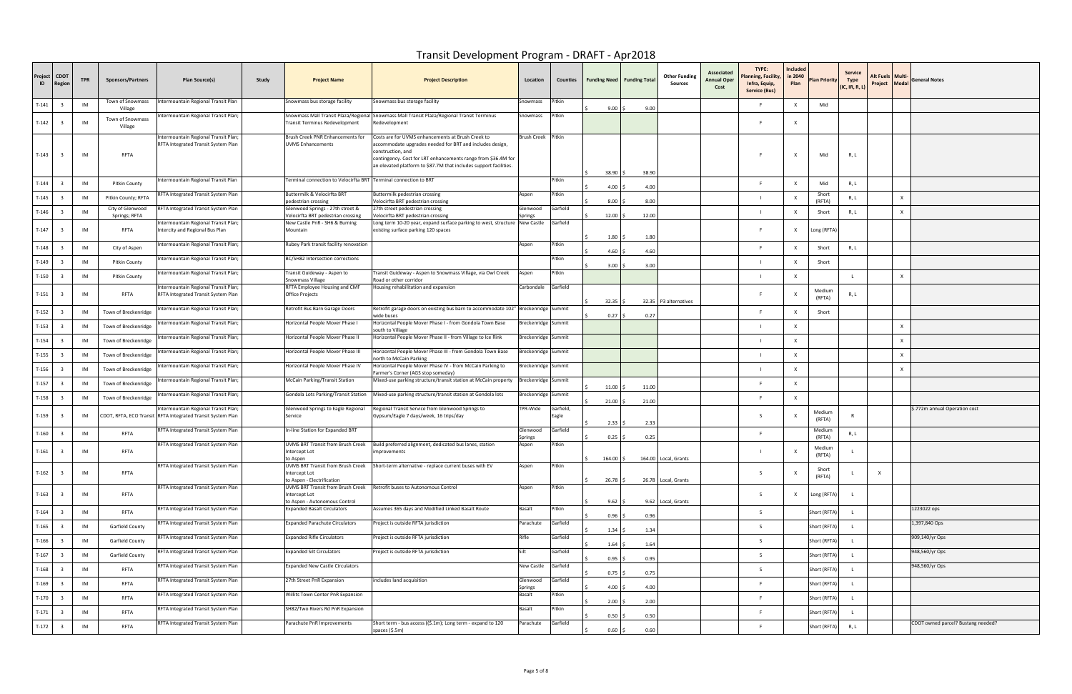| Project<br>$\blacksquare$ | <b>CDOT</b><br><b>Regio</b> | <b>TPR</b> | <b>Sponsors/Partners</b>          | Plan Source(s)                                                                                      | Study | <b>Project Name</b>                                                                 | <b>Project Description</b>                                                                                                                                                                                                                                               | Location            | Counties           | Funding Need   Funding Total |       | <b>Other Funding</b><br>Sources | Associated<br>Annual Oper<br>Cost | TYPE:<br>lanning, Facility,<br>Infra, Equip,<br><b>Service (Bus)</b> | Included<br>in 2040<br>Plan | <b>Plan Priority</b> | <b>Service</b><br>Type<br>(IC, IR, R, L) | Alt Fuels   Multi<br>Project Modal | <b>General Notes</b>               |
|---------------------------|-----------------------------|------------|-----------------------------------|-----------------------------------------------------------------------------------------------------|-------|-------------------------------------------------------------------------------------|--------------------------------------------------------------------------------------------------------------------------------------------------------------------------------------------------------------------------------------------------------------------------|---------------------|--------------------|------------------------------|-------|---------------------------------|-----------------------------------|----------------------------------------------------------------------|-----------------------------|----------------------|------------------------------------------|------------------------------------|------------------------------------|
| $T-141$                   |                             | IM         | Town of Snowmass<br>Village       | ntermountain Regional Transit Plan                                                                  |       | Snowmass bus storage facility                                                       | Snowmass bus storage facility                                                                                                                                                                                                                                            | Snowmass            | <sup>,</sup> itkin | 9.00                         | 9.00  |                                 |                                   | - F                                                                  | x                           | Mid                  |                                          |                                    |                                    |
| $T-142$                   |                             | IM         | Town of Snowmass<br>Village       | Intermountain Regional Transit Plan;                                                                |       | Transit Terminus Redevelopment                                                      | Snowmass Mall Transit Plaza/Regional Snowmass Mall Transit Plaza/Regional Transit Terminus<br>Redevelopment                                                                                                                                                              | Snowmass            | Pitkin             |                              |       |                                 |                                   |                                                                      | $\mathsf{x}$                |                      |                                          |                                    |                                    |
| $T-143$                   | $\overline{3}$              | IM         | RFTA                              | Intermountain Regional Transit Plan<br>RFTA Integrated Transit System Plan                          |       | Brush Creek PNR Enhancements for<br><b>UVMS Enhancements</b>                        | Costs are for UVMS enhancements at Brush Creek to<br>accommodate upgrades needed for BRT and includes design,<br>construction, and<br>contingency. Cost for LRT enhancements range from \$36.4M for<br>an elevated platform to \$87.7M that includes support facilities. | Brush Creek Pitkin  |                    | 38.90                        | 38.90 |                                 |                                   |                                                                      | $\mathsf{X}$                | Mid                  | R, I                                     |                                    |                                    |
| $T-144$                   |                             | IM         | <b>Pitkin County</b>              | Intermountain Regional Transit Plan                                                                 |       | Terminal connection to Velocirfta BRT Terminal connection to BRT                    |                                                                                                                                                                                                                                                                          |                     | Pitkin             | 4.00                         | 4.00  |                                 |                                   | - F                                                                  | X                           | Mid                  | R, L                                     |                                    |                                    |
| $T-145$                   | $\overline{\mathbf{3}}$     | IM         | Pitkin County; RFTA               | RFTA Integrated Transit System Plan                                                                 |       | Buttermilk & Velocirfta BRT<br>pedestrian crossing                                  | Buttermilk pedestrian crossing<br>Velocirfta BRT pedestrian crossing                                                                                                                                                                                                     | Aspen               | Pitkin             | 8.00                         | 8.00  |                                 |                                   |                                                                      |                             | Short<br>(RFTA)      | R, L                                     |                                    |                                    |
| $T-146$                   |                             | IM         | City of Glenwood<br>Springs; RFTA | RFTA Integrated Transit System Plan                                                                 |       | Glenwood Springs - 27th street &<br>Velocirfta BRT pedestrian crossing              | 27th street pedestrian crossing<br>Velocirfta BRT pedestrian crossing                                                                                                                                                                                                    | Glenwood<br>prings  | Garfield           | 12.00                        | 12.00 |                                 |                                   |                                                                      |                             | Short                | R, L                                     |                                    |                                    |
| $T-147$                   |                             | IM         | RFTA                              | ntermountain Regional Transit Plan;<br>Intercity and Regional Bus Plan                              |       | New Castle PnR - SH6 & Burning<br>Mountain                                          | Long term 10-20 year, expand surface parking to west, structure New Castle<br>existing surface parking 120 spaces                                                                                                                                                        |                     | Garfield           | 1.80                         | 1.80  |                                 |                                   | - F                                                                  | $\mathsf{X}$                | Long (RFTA)          |                                          |                                    |                                    |
| T-148                     |                             | IM         | City of Aspen                     | Intermountain Regional Transit Plan;                                                                |       | Rubey Park transit facility renovation                                              |                                                                                                                                                                                                                                                                          | Aspen               | Pitkin             | 4.60                         | 4.60  |                                 |                                   | F                                                                    |                             | Short                | R, L                                     |                                    |                                    |
| $T-149$                   |                             | IM         | <b>Pitkin County</b>              | Intermountain Regional Transit Plan;                                                                |       | BC/SH82 Intersection corrections                                                    |                                                                                                                                                                                                                                                                          |                     | Pitkin             | 3.00                         | 3.00  |                                 |                                   |                                                                      |                             | Short                |                                          |                                    |                                    |
| T-150                     |                             | IM         | <b>Pitkin County</b>              | Intermountain Regional Transit Plan;                                                                |       | Transit Guideway - Aspen to<br>Snowmass Village                                     | Transit Guideway - Aspen to Snowmass Village, via Owl Creek<br>Road or other corridor                                                                                                                                                                                    | Aspen               | Pitkin             |                              |       |                                 |                                   |                                                                      |                             |                      |                                          |                                    |                                    |
| $T-151$                   |                             | IM         | RFTA                              | Intermountain Regional Transit Plan;<br>RFTA Integrated Transit System Plan                         |       | RFTA Employee Housing and CMF<br>Office Projects                                    | Housing rehabilitation and expansion                                                                                                                                                                                                                                     | Carbondale          | Garfield           | 32.35                        |       | 32.35 P3 alternatives           |                                   | - F                                                                  | $\mathsf{x}$                | Medium<br>(RFTA)     | R, L                                     |                                    |                                    |
| $T-152$                   |                             | IM         | Town of Breckenridge              | Intermountain Regional Transit Plan;                                                                |       | Retrofit Bus Barn Garage Doors                                                      | Retrofit garage doors on existing bus barn to accommodate 102" Breckenridge Summit<br>wide buses                                                                                                                                                                         |                     |                    | $0.27$ \$                    | 0.27  |                                 |                                   | F                                                                    |                             | Short                |                                          |                                    |                                    |
| $T-153$                   |                             | IM         | Town of Breckenridge              | ntermountain Regional Transit Plan;                                                                 |       | Horizontal People Mover Phase I                                                     | Horizontal People Mover Phase I - from Gondola Town Base<br>south to Village                                                                                                                                                                                             | Breckenridge Summit |                    |                              |       |                                 |                                   |                                                                      |                             |                      |                                          |                                    |                                    |
| $T-154$                   | $\mathbf{3}$                | IM         | Town of Breckenridge              | ntermountain Regional Transit Plan;                                                                 |       | Horizontal People Mover Phase II                                                    | Horizontal People Mover Phase II - from Village to Ice Rink                                                                                                                                                                                                              | Breckenridge Summit |                    |                              |       |                                 |                                   |                                                                      |                             |                      |                                          |                                    |                                    |
| $T-155$                   | 3                           | IM         | Town of Breckenridge              | ntermountain Regional Transit Plan;                                                                 |       | Horizontal People Mover Phase III                                                   | Horizontal People Mover Phase III - from Gondola Town Base<br>north to McCain Parking                                                                                                                                                                                    | Breckenridge Summit |                    |                              |       |                                 |                                   |                                                                      | $\boldsymbol{\mathsf{x}}$   |                      |                                          | <b>x</b>                           |                                    |
| T-156                     | $\overline{\mathbf{3}}$     | IM         | Town of Breckenridge              | ntermountain Regional Transit Plan;                                                                 |       | Horizontal People Mover Phase IV                                                    | Horizontal People Mover Phase IV - from McCain Parking to<br>Farmer's Corner (AGS stop someday)                                                                                                                                                                          | Breckenridge Summit |                    |                              |       |                                 |                                   |                                                                      | X                           |                      |                                          |                                    |                                    |
| $T-157$                   | $\mathbf{3}$                | IM         | Town of Breckenridge              | ntermountain Regional Transit Plan;                                                                 |       | McCain Parking/Transit Station                                                      | Mixed-use parking structure/transit station at McCain property                                                                                                                                                                                                           | Breckenridge Summit |                    | 11.00                        | 11.00 |                                 |                                   | - F                                                                  | X                           |                      |                                          |                                    |                                    |
| $T-158$                   | 3                           | IM         | Town of Breckenridge              | ntermountain Regional Transit Plan;                                                                 |       | Gondola Lots Parking/Transit Station                                                | Mixed-use parking structure/transit station at Gondola lots                                                                                                                                                                                                              | Breckenridge Summit |                    | $21.00$ \$                   | 21.00 |                                 |                                   |                                                                      | $\times$                    |                      |                                          |                                    |                                    |
| $T-159$                   |                             | IM         |                                   | Intermountain Regional Transit Plan;<br>CDOT, RFTA, ECO Transit RFTA Integrated Transit System Plan |       | Glenwood Springs to Eagle Regional<br>Service                                       | Regional Transit Service from Glenwood Springs to<br>Gypsum/Eagle 7 days/week, 16 trips/day                                                                                                                                                                              | FPR-Wide            | Garfield,<br>Eagle | 2.33                         | 2.33  |                                 |                                   | - S                                                                  |                             | Medium<br>(RFTA)     |                                          |                                    | \$.772m annual Operation cost      |
| $T-160$                   | $\overline{\mathbf{3}}$     | IM         | RFTA                              | RFTA Integrated Transit System Plan                                                                 |       | In-line Station for Expanded BRT                                                    |                                                                                                                                                                                                                                                                          | Glenwood<br>Springs | Garfield           | 0.25                         | 0.25  |                                 |                                   | - F                                                                  |                             | Medium<br>(RFTA)     | R, L                                     |                                    |                                    |
| $T-161$                   | $\mathbf{R}$                | IM         | RFTA                              | RFTA Integrated Transit System Plan                                                                 |       | UVMS BRT Transit from Brush Creek<br>Intercept Lot<br>to Aspen                      | Build preferred alignment, dedicated bus lanes, station<br>improvements                                                                                                                                                                                                  | Aspen               | Pitkin             | 164.00 \$                    |       | 164.00 Local, Grants            |                                   |                                                                      | $\mathbf{x}$                | Medium<br>(RFTA)     |                                          |                                    |                                    |
| $T-162$                   | $\mathbf{3}$                | IM         | RFTA                              | RFTA Integrated Transit System Plan                                                                 |       | UVMS BRT Transit from Brush Creek<br>Intercept Lot<br>to Aspen - Electrification    | Short-term alternative - replace current buses with EV                                                                                                                                                                                                                   | Aspen               | Pitkin             | 26.78                        |       | 26.78 Local, Grants             |                                   | -S                                                                   | $\mathsf{X}$                | Short<br>(RFTA)      |                                          | $\mathbf{x}$                       |                                    |
| $T-163$                   | $\overline{3}$              | IM         | RFTA                              | RFTA Integrated Transit System Plan                                                                 |       | UVMS BRT Transit from Brush Creek<br>Intercept Lot<br>to Aspen - Autonomous Control | Retrofit buses to Autonomous Control                                                                                                                                                                                                                                     | Aspen               | Pitkin             | 9.62                         | 9.62  | Local, Grants                   |                                   | S.                                                                   | $\mathsf{X}$                | Long (RFTA)          |                                          |                                    |                                    |
| $T-164$                   | $\overline{\mathbf{3}}$     | IM         | RFTA                              | RFTA Integrated Transit System Plan                                                                 |       | <b>Expanded Basalt Circulators</b>                                                  | Assumes 365 days and Modified Linked Basalt Route                                                                                                                                                                                                                        | Basalt              | Pitkin             | $0.96$ \$                    | 0.96  |                                 |                                   | -S                                                                   |                             | Short (RFTA)         |                                          |                                    | 1223022 ops                        |
| $T-165$                   | 3                           | IM         | Garfield County                   | RFTA Integrated Transit System Plan                                                                 |       | <b>Expanded Parachute Circulators</b>                                               | Project is outside RFTA jurisdiction                                                                                                                                                                                                                                     | Parachute           | Garfield           | 1.34                         | 1.34  |                                 |                                   | -S                                                                   |                             | Short (RFTA)         |                                          |                                    | 1,397,840 Ops                      |
| $T-166$                   |                             | IM         | Garfield County                   | RFTA Integrated Transit System Plan                                                                 |       | <b>Expanded Rifle Circulators</b>                                                   | Project is outside RFTA jurisdiction                                                                                                                                                                                                                                     | Rifle               | Garfield           | 1.64                         | 1.64  |                                 |                                   | -S                                                                   |                             | Short (RFTA)         |                                          |                                    | 909,140/yr Ops                     |
| $T-167$                   | $\mathbf{3}$                | IM         | Garfield County                   | RFTA Integrated Transit System Plan                                                                 |       | <b>Expanded Silt Circulators</b>                                                    | Project is outside RFTA jurisdiction                                                                                                                                                                                                                                     | Silt                | Garfield           | 0.95                         | 0.95  |                                 |                                   | -S                                                                   |                             | Short (RFTA)         |                                          |                                    | 948,560/yr Ops                     |
| $T-168$                   |                             | IM         | RFTA                              | RFTA Integrated Transit System Plan                                                                 |       | <b>Expanded New Castle Circulators</b>                                              |                                                                                                                                                                                                                                                                          | New Castle          | Garfield           | 0.75                         | 0.75  |                                 |                                   | -S                                                                   |                             | Short (RFTA)         |                                          |                                    | 948,560/yr Ops                     |
| $T-169$                   | $\mathbf{3}$                | IM         | RFTA                              | RFTA Integrated Transit System Plan                                                                 |       | 27th Street PnR Expansion                                                           | includes land acquisition                                                                                                                                                                                                                                                | Glenwood<br>Springs | Garfield           | 4.00                         | 4.00  |                                 |                                   | <b>F</b>                                                             |                             | Short (RFTA)         |                                          |                                    |                                    |
| $T-170$                   | $\mathbf{3}$                | IM         | RFTA                              | RFTA Integrated Transit System Plan                                                                 |       | Willits Town Center PnR Expansion                                                   |                                                                                                                                                                                                                                                                          | Basalt              | Pitkin             | 2.00                         | 2.00  |                                 |                                   | - F                                                                  |                             | Short (RFTA)         |                                          |                                    |                                    |
| $T-171$                   | $\overline{\mathbf{3}}$     | IM         | RFTA                              | RFTA Integrated Transit System Plan                                                                 |       | SH82/Two Rivers Rd PnR Expansion                                                    |                                                                                                                                                                                                                                                                          | Basalt              | Pitkin             | 0.50                         | 0.50  |                                 |                                   | - F                                                                  |                             | Short (RFTA)         |                                          |                                    |                                    |
| $T-172$                   | $\overline{\mathbf{3}}$     | IM         | RFTA                              | RFTA Integrated Transit System Plan                                                                 |       | Parachute PnR Improvements                                                          | Short term - bus access ((\$.1m); Long term - expand to 120<br>spaces (\$.5m)                                                                                                                                                                                            | Parachute           | Garfield           | 0.60                         | 0.60  |                                 |                                   |                                                                      |                             | Short (RFTA)         | R, L                                     |                                    | CDOT owned parcel? Bustang needed? |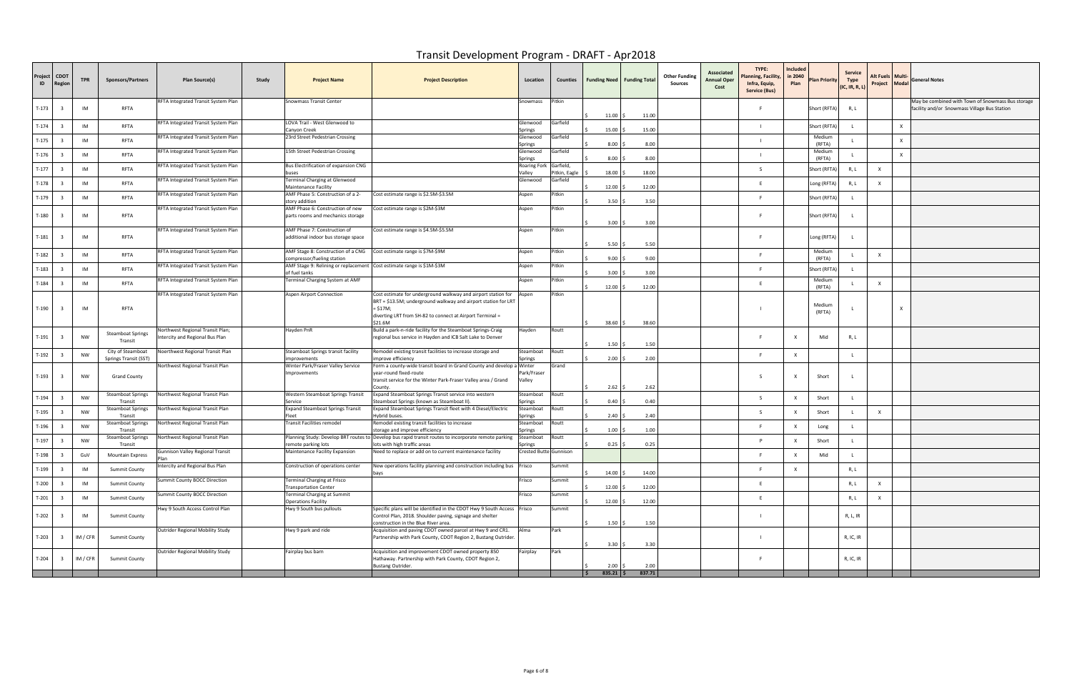| Project<br>ID | <b>CDOT</b><br><b>Regio</b> | <b>TPR</b> | <b>Sponsors/Partners</b>                   | Plan Source(s)                                                      | Study<br><b>Project Name</b>                                                                                         | <b>Project Description</b>                                                                                                                                                                                              | Location               | Counties                               | <b>Funding Need   Funding Total</b> |              | <b>Other Funding</b><br>Sources | Associated<br>Annual Oper<br>Cost | TYPE:<br>Planning, Facility<br>Infra, Equip,<br>Service (Bus) | Included<br>in 2040<br>Plan | <b>Plan Priority</b> | Service<br>Type<br>(IC, IR, R, L) | Alt Fuels   Multi·<br>Project Modal | <b>General Notes</b>                                                                              |
|---------------|-----------------------------|------------|--------------------------------------------|---------------------------------------------------------------------|----------------------------------------------------------------------------------------------------------------------|-------------------------------------------------------------------------------------------------------------------------------------------------------------------------------------------------------------------------|------------------------|----------------------------------------|-------------------------------------|--------------|---------------------------------|-----------------------------------|---------------------------------------------------------------|-----------------------------|----------------------|-----------------------------------|-------------------------------------|---------------------------------------------------------------------------------------------------|
| T-173         |                             | IM         | RFTA                                       | RFTA Integrated Transit System Plan                                 | Snowmass Transit Center                                                                                              |                                                                                                                                                                                                                         | Snowmass               | Pitkin                                 | $11.00$ \$                          | 11.00        |                                 |                                   | F                                                             |                             | Short (RFTA)         | R, L                              |                                     | May be combined with Town of Snowmass Bus storage<br>facility and/or Snowmass Village Bus Station |
| $T-174$       |                             | IM         | RFTA                                       | RFTA Integrated Transit System Plan                                 | LOVA Trail - West Glenwood to<br>Canyon Creek                                                                        |                                                                                                                                                                                                                         | Glenwood<br>Springs    | Garfield                               | 15.00                               | 15.00        |                                 |                                   |                                                               |                             | Short (RFTA)         |                                   |                                     |                                                                                                   |
| $T-175$       |                             | IM         | RFTA                                       | RFTA Integrated Transit System Plan                                 | 23rd Street Pedestrian Crossing                                                                                      |                                                                                                                                                                                                                         | Glenwood<br>Springs    | Garfield                               | 8.00                                | 8.00         |                                 |                                   |                                                               |                             | Medium<br>(RFTA)     |                                   |                                     |                                                                                                   |
| T-176         |                             | IM         | RFTA                                       | RFTA Integrated Transit System Plan                                 | 15th Street Pedestrian Crossing                                                                                      |                                                                                                                                                                                                                         | Glenwood<br>iprings    | Garfield                               | 8.00                                | 8.00         |                                 |                                   |                                                               |                             | Medium<br>(RFTA)     |                                   |                                     |                                                                                                   |
| $T-177$       |                             | IM         | RFTA                                       | RFTA Integrated Transit System Plan                                 | Bus Electrification of expansion CNG                                                                                 |                                                                                                                                                                                                                         | Roaring Fork<br>Valley | Garfield,<br><sup>p</sup> itkin, Eagle | 18.00                               | 18.00        |                                 |                                   | S.                                                            |                             | Short (RFTA)         | R, L                              | $\mathsf{X}$                        |                                                                                                   |
| T-178         |                             | IM         | RFTA                                       | RFTA Integrated Transit System Plan                                 | Terminal Charging at Glenwood<br>Maintenance Facility                                                                |                                                                                                                                                                                                                         | Glenwood               | Garfield                               | 12.00                               | 12.00        |                                 |                                   | E                                                             |                             | Long (RFTA)          | R, L                              | X                                   |                                                                                                   |
| T-179         |                             | IM         | RFTA                                       | RFTA Integrated Transit System Plan                                 | AMF Phase 5: Construction of a 2-<br>story addition                                                                  | Cost estimate range is \$2.5M-\$3.5M                                                                                                                                                                                    | Aspen                  | Pitkin                                 | 3.50%                               | 3.50         |                                 |                                   | F.                                                            |                             | Short (RFTA)         |                                   |                                     |                                                                                                   |
| T-180         |                             | IM         | RFTA                                       | RFTA Integrated Transit System Plan                                 | AMF Phase 6: Construction of new<br>parts rooms and mechanics storage                                                | Cost estimate range is \$2M-\$3M                                                                                                                                                                                        | Aspen                  | Pitkin                                 | 3.00%                               | 3.00         |                                 |                                   | -F                                                            |                             | Short (RFTA)         |                                   |                                     |                                                                                                   |
| T-181         |                             | IM         | RFTA                                       | RFTA Integrated Transit System Plan                                 | AMF Phase 7: Construction of<br>additional indoor bus storage space                                                  | Cost estimate range is \$4.5M-\$5.5M                                                                                                                                                                                    | Aspen                  | Pitkin                                 |                                     |              |                                 |                                   | F                                                             |                             | Long (RFTA)          | $\mathsf{L}$                      |                                     |                                                                                                   |
| T-182         |                             | IM         | RFTA                                       | RFTA Integrated Transit System Plan                                 | AMF Stage 8: Construction of a CNG                                                                                   | Cost estimate range is \$7M-\$9M                                                                                                                                                                                        | Aspen                  | Pitkin                                 | 5.50%<br>9.00                       | 5.50<br>9.00 |                                 |                                   | E.                                                            |                             | Medium<br>(RFTA)     |                                   | $\mathsf{x}$                        |                                                                                                   |
| T-183         |                             | IM         | RFTA                                       | RFTA Integrated Transit System Plan                                 | compressor/fueling station<br>AMF Stage 9: Relining or replacement Cost estimate range is \$1M-\$3M<br>of fuel tanks |                                                                                                                                                                                                                         | Aspen                  | Pitkin                                 | 3.00                                | 3.00         |                                 |                                   | F.                                                            |                             | Short (RFTA          |                                   |                                     |                                                                                                   |
| T-184         |                             | IM         | RFTA                                       | RFTA Integrated Transit System Plan                                 | Terminal Charging System at AMF                                                                                      |                                                                                                                                                                                                                         | Aspen                  | Pitkin                                 | 12.00                               | 12.00        |                                 |                                   | E.                                                            |                             | Medium<br>(RFTA)     |                                   | $\mathsf{X}$                        |                                                                                                   |
| T-190         |                             | IM         | RFTA                                       | RFTA Integrated Transit System Plan                                 | Aspen Airport Connection                                                                                             | Cost estimate for underground walkway and airport station for Aspen<br>BRT = \$13.5M; underground walkway and airport station for LRT<br>= \$17M;<br>diverting LRT from SH-82 to connect at Airport Terminal =<br>21.6M |                        | Pitkin                                 | $38.60$ \$                          | 38.60        |                                 |                                   |                                                               |                             | Medium<br>(RFTA)     |                                   |                                     |                                                                                                   |
| T-191         |                             | NW         | <b>Steamboat Springs</b><br>Transit        | Northwest Regional Transit Plan;<br>Intercity and Regional Bus Plan | Hayden PnR                                                                                                           | Build a park-n-ride facility for the Steamboat Springs-Craig<br>regional bus service in Hayden and ICB Salt Lake to Denver                                                                                              | Hayden                 | Routt                                  | 1.50                                | 1.50         |                                 |                                   | F.                                                            | $\mathsf{x}$                | Mid                  | R, L                              |                                     |                                                                                                   |
| T-192         |                             | <b>NW</b>  | City of Steamboat<br>Springs Transit (SST) | Noerthwest Regional Transit Plan                                    | Steamboat Springs transit facility<br>mprovements                                                                    | Remodel existing transit facilities to increase storage and<br>mprove efficiency                                                                                                                                        | Steamboat<br>iprings   | Routt                                  | 2.00                                | 2.00         |                                 |                                   | F.                                                            |                             |                      |                                   |                                     |                                                                                                   |
| $T-193$       |                             | NW         | <b>Grand County</b>                        | Northwest Regional Transit Plan                                     | Winter Park/Fraser Valley Service<br>Improvements                                                                    | Form a county-wide transit board in Grand County and develop a Winter<br>year-round fixed-route<br>transit service for the Winter Park-Fraser Valley area / Grand                                                       | Park/Fraser<br>Valley  | Grand                                  | 2.62                                | 2.62         |                                 |                                   | S.                                                            | $\mathsf{X}$                | Short                |                                   |                                     |                                                                                                   |
| T-194         |                             | <b>NW</b>  | <b>Steamboat Springs</b><br>Transit        | Northwest Regional Transit Plan                                     | Western Steamboat Springs Transit<br>Service                                                                         | Expand Steamboat Springs Transit service into western<br>Steamboat Springs (known as Steamboat II)                                                                                                                      | Steamboat<br>Springs   | Routt                                  | 0.40                                | 0.40         |                                 |                                   | -S                                                            |                             | Short                |                                   |                                     |                                                                                                   |
| T-195         |                             | <b>NW</b>  | Steamboat Springs<br>Transit               | Northwest Regional Transit Plan                                     | Expand Steamboat Springs Transit                                                                                     | Expand Steamboat Springs Transit fleet with 4 Diesel/Electric<br>Hybrid buses.                                                                                                                                          | Steamboat<br>iprings   | Routt                                  | 2.40                                | 2.40         |                                 |                                   | S.                                                            |                             | Short                |                                   | $\mathsf{X}$                        |                                                                                                   |
| T-196         |                             | NW         | <b>Steamboat Springs</b><br>Transit        | Northwest Regional Transit Plan                                     | Transit Facilities remodel                                                                                           | Remodel existing transit facilities to increase<br>storage and improve efficiency                                                                                                                                       | Steamboat<br>Springs   | Routt                                  | 1.00                                | 1.00         |                                 |                                   | F.                                                            |                             | Long                 |                                   |                                     |                                                                                                   |
| T-197         |                             | <b>NW</b>  | Steamboat Springs<br>Transit               | Northwest Regional Transit Plan                                     | emote parking lots                                                                                                   | Planning Study: Develop BRT routes to Develop bus rapid transit routes to incorporate remote parking<br>lots with high traffic areas                                                                                    | Steamboat<br>iprings   | outt?                                  | 0.25                                | 0.25         |                                 |                                   |                                                               |                             | Short                |                                   |                                     |                                                                                                   |
| $T-198$       |                             | GuV        | <b>Mountain Express</b>                    | Gunnison Valley Regional Transit<br>Plan                            | Maintenance Facility Expansion                                                                                       | Need to replace or add on to current maintenance facility                                                                                                                                                               | Crested Butte Gunnison |                                        |                                     |              |                                 |                                   |                                                               |                             |                      |                                   |                                     |                                                                                                   |
| T-199         |                             | IM         | <b>Summit County</b>                       | Intercity and Regional Bus Plan                                     | Construction of operations center                                                                                    | New operations facility planning and construction including bus Frisco                                                                                                                                                  |                        | Summit                                 | $14.00$ \$                          | 14.00        |                                 |                                   | E.                                                            | $\mathsf{x}$                |                      | R, L                              |                                     |                                                                                                   |
| $T-200$       |                             | IM         | <b>Summit County</b>                       | Summit County BOCC Direction                                        | Terminal Charging at Frisco<br><b>Transportation Center</b>                                                          |                                                                                                                                                                                                                         | Frisco                 | Summit                                 | 12.00                               | 12.00        |                                 |                                   | E                                                             |                             |                      | R, L                              | $\times$                            |                                                                                                   |
| $T-201$       |                             | IM         | <b>Summit County</b>                       | Summit County BOCC Direction                                        | Terminal Charging at Summit<br><b>Operations Facility</b>                                                            |                                                                                                                                                                                                                         | Frisco                 | Summit                                 | 12.00%                              | 12.00        |                                 |                                   | E                                                             |                             |                      | R, L                              | $\mathsf{x}$                        |                                                                                                   |
| T-202         |                             | IM         | <b>Summit County</b>                       | Hwy 9 South Access Control Plan                                     | Hwy 9 South bus pullouts                                                                                             | Specific plans will be identified in the CDOT Hwy 9 South Access Frisco<br>Control Plan, 2018. Shoulder paving, signage and shelter<br>construction in the Blue River area.                                             |                        | Summit                                 | $1.50 \pm 1.50$                     | 1.50         |                                 |                                   |                                                               |                             |                      | R, L, IR                          |                                     |                                                                                                   |
| $T-203$       |                             | IM / CFR   | <b>Summit County</b>                       | Outrider Regional Mobility Study                                    | wy 9 park and ride                                                                                                   | Acquisition and paving CDOT owned parcel at Hwy 9 and CR1. Alma<br>Partnership with Park County, CDOT Region 2, Bustang Outrider.                                                                                       |                        | Park                                   | 3.30                                | 3.30         |                                 |                                   |                                                               |                             |                      | R, IC, IR                         |                                     |                                                                                                   |
| T-204         |                             | IM / CFR   | <b>Summit County</b>                       | Outrider Regional Mobility Study                                    | airplay bus barn                                                                                                     | Acquisition and improvement CDOT owned property 850<br>Hathaway. Partnership with Park County, CDOT Region 2,<br>Bustang Outrider.                                                                                      | Fairplay               | Park                                   | 2.00                                | 2.00         |                                 |                                   | - F                                                           |                             |                      | R, IC, IR                         |                                     |                                                                                                   |
|               |                             |            |                                            |                                                                     |                                                                                                                      |                                                                                                                                                                                                                         |                        |                                        | $835.21$ \$                         | 837.71       |                                 |                                   |                                                               |                             |                      |                                   |                                     |                                                                                                   |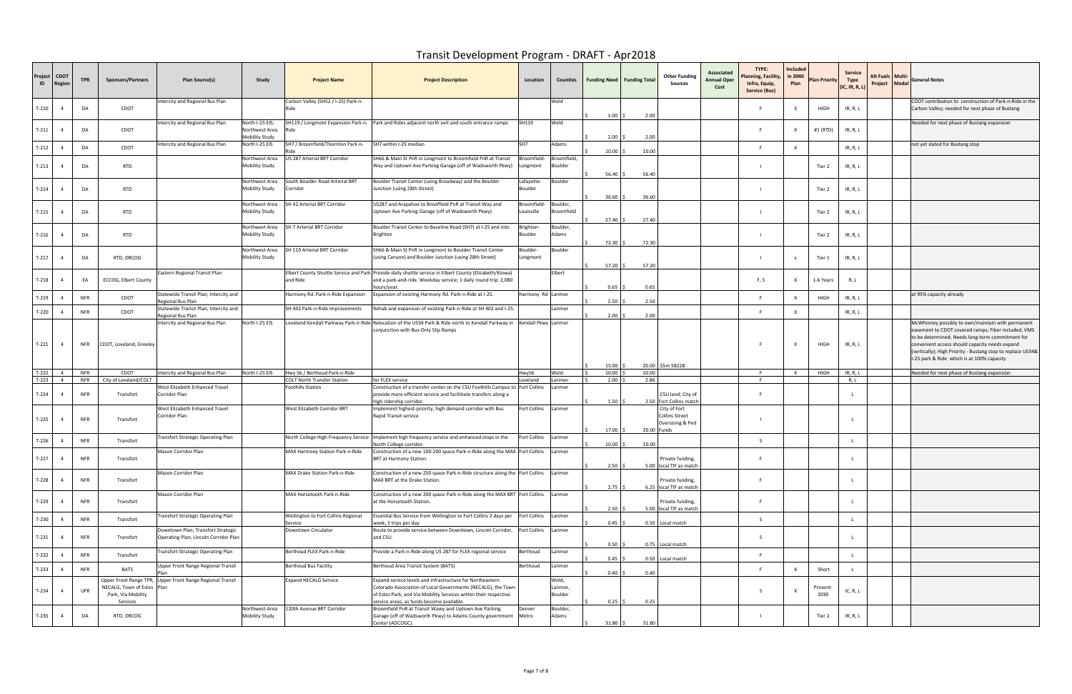| Project<br>$\blacksquare$ | <b>CDOT</b><br>Regioı | <b>TPR</b>               | <b>Sponsors/Partners</b>                                                          | Study<br>Plan Source(s)                                                                | <b>Project Name</b>                                            | <b>Project Description</b>                                                                                                                                                                                                                 | Location                  | Counties                     | <b>Funding Need   Funding Total</b> |       | <b>Other Funding</b><br>Sources                                        | TYPE:<br>Associated<br>Planning, Facility,<br><b>Annual Oper</b><br>Infra, Equip,<br>Cost<br>Service (Bus) | Included<br>in 2040<br>Plan | Plan Priority    | <b>Service</b><br>Type<br>(IC, IR, R, L) | Alt Fuels   Multi- | Project Modal General Notes                                                                                                                                                                                                                                                                                                 |
|---------------------------|-----------------------|--------------------------|-----------------------------------------------------------------------------------|----------------------------------------------------------------------------------------|----------------------------------------------------------------|--------------------------------------------------------------------------------------------------------------------------------------------------------------------------------------------------------------------------------------------|---------------------------|------------------------------|-------------------------------------|-------|------------------------------------------------------------------------|------------------------------------------------------------------------------------------------------------|-----------------------------|------------------|------------------------------------------|--------------------|-----------------------------------------------------------------------------------------------------------------------------------------------------------------------------------------------------------------------------------------------------------------------------------------------------------------------------|
| $T-210$                   | - 4                   | DA                       | CDOT                                                                              | Intercity and Regional Bus Plan                                                        | Carbon Valley (SH52 / I-25) Park-n-<br>Ride                    |                                                                                                                                                                                                                                            |                           | Weld                         | 1.00                                | 2.00  |                                                                        | F.                                                                                                         | X                           | HIGH             | IR, R, L                                 |                    | CDOT contribution to construction of Park-n-Ride in the<br>Carbon Valley; needed for next phase of Bustang                                                                                                                                                                                                                  |
| $T-211$                   | -4                    | DA                       | CDOT                                                                              | North I-25 EIS;<br>Intercity and Regional Bus Plan<br>Northwest Area<br>Mobility Study |                                                                | SH119 / Longmont Expansion Park-n- Park and Rides adjacent north exit and south entrance ramps                                                                                                                                             | SH119                     | Weld                         | 2.00                                | 2.00  |                                                                        | F.                                                                                                         | X                           | #1 (RTD)         | IR, R, L                                 |                    | Needed for next phase of Bustang expansion                                                                                                                                                                                                                                                                                  |
| $T-212$                   | -4                    | DA                       | CDOT                                                                              | Intercity and Regional Bus Plan<br>North I-25 EIS                                      | SH7 / Broomfield/Thornton Park-n-                              | SH7 within I-25 median                                                                                                                                                                                                                     | SH <sub>7</sub>           | Adams                        | $10.00$ \$                          | 10.00 |                                                                        | F.                                                                                                         | X                           |                  | IR, R, L                                 |                    | not yet slated for Bustang stop                                                                                                                                                                                                                                                                                             |
| $T-213$                   |                       | DA                       | RTD                                                                               | Northwest Area<br>Mobility Study                                                       | US 287 Arterial BRT Corridor                                   | SH66 & Main St PnR in Longmont to Broomfield PnR at Transit<br>Way and Uptown Ave Parking Garage (off of Wadsworth Pkwy)                                                                                                                   | Broomfield-<br>ongmont    | Broomfield,<br>Boulder       | 56.40                               | 56.40 |                                                                        | $\blacksquare$                                                                                             |                             | Tier 2           | IR, R, L                                 |                    |                                                                                                                                                                                                                                                                                                                             |
| $T-214$                   |                       | DA                       | RTD                                                                               | Northwest Area<br>Mobility Study                                                       | South Boulder Road Arterial BRT<br>Corridor                    | Boulder Transit Center (using Broadway) and the Boulder<br>Junction (using 28th Street)                                                                                                                                                    | Lafayette-<br>Boulder     | 3oulder                      | $36.60$ \$                          | 36.60 |                                                                        | $\blacksquare$                                                                                             |                             | Tier 2           | IR, R, L                                 |                    |                                                                                                                                                                                                                                                                                                                             |
| $T-215$                   |                       | DA                       | <b>RTD</b>                                                                        | Northwest Area<br>Mobility Study                                                       | SH 42 Arterial BRT Corridor                                    | US287 and Arapahoe to Brooffield PnR at Transit Way and<br>Uptown Ave Parking Garage (off of Wadsworth Pkwy)                                                                                                                               | Broomfield-<br>Louisville | Boulder,<br>Broomfield       | 27.40%                              | 27.40 |                                                                        |                                                                                                            |                             | Tier 2           | IR, R, L                                 |                    |                                                                                                                                                                                                                                                                                                                             |
| $T-216$                   | -4                    | DA                       | <b>RTD</b>                                                                        | Northwest Area<br>Mobility Study                                                       | SH 7 Arterial BRT Corridor                                     | Boulder Transit Center to Baseline Road (SH7) at I-25 and into<br>Brighton                                                                                                                                                                 | Brighton-<br>Boulder      | Boulder,<br>Adams            | 72.30 \$                            | 72.30 |                                                                        |                                                                                                            |                             | Tier 2           | IR, R, L                                 |                    |                                                                                                                                                                                                                                                                                                                             |
| $T-217$                   | -4                    | DA                       | RTD, DRCOG                                                                        | Northwest Area<br>Mobility Study                                                       | SH 119 Arterial BRT Corridor                                   | SH66 & Main St PnR in Longmont to Boulder Transit Center<br>(using Canyon) and Boulder Junction (using 28th Street)                                                                                                                        | Boulder-<br>.ongmont      | Boulder                      | $57.20$ \$                          | 57.20 |                                                                        |                                                                                                            | $\mathsf{x}$                | Tier 1           | IR, R, L                                 |                    |                                                                                                                                                                                                                                                                                                                             |
| $T-218$                   | $\overline{4}$        | EA                       | ECCOG, Elbert County                                                              | Eastern Regional Transit Plan                                                          | and Ride                                                       | Elbert County Shuttle Service and Park   Provide daily shuttle service in Elbert County (Elizabeth/Kiowa)<br>and a park-and-ride. Weekday service; 1 daily round trip. 2,080<br>hours/year.                                                |                           | Elbert                       | 0.65                                | 0.65  |                                                                        | F, S                                                                                                       | X                           | 1-6 Years        | R, L                                     |                    |                                                                                                                                                                                                                                                                                                                             |
| $T-219$                   | $\overline{4}$        | <b>NFR</b>               | CDOT                                                                              | Statewide Transit Plan; Intercity and<br>Regional Bus Plan                             | Harmony Rd. Park-n-Ride Expansion                              | Expansion of existing Harmony Rd. Park-n-Ride at I-25.                                                                                                                                                                                     | Harmony Rd Larimer        |                              | 2.50                                | 2.50  |                                                                        | F.                                                                                                         | X                           | HIGH             | IR, R, L                                 |                    | at 95% capacity already                                                                                                                                                                                                                                                                                                     |
| $T-220$                   |                       | <b>NFR</b>               | CDOT                                                                              | Statewide Transit Plan; Intercity and<br>Regional Bus Plan                             | SH 402 Park-n-Ride Improvements                                | Rehab and expansion of existing Park-n-Ride at SH 402 and I-25.                                                                                                                                                                            |                           | Larimer                      | 2.00                                | 2.00  |                                                                        | E.                                                                                                         | X                           |                  | IR, R, L                                 |                    |                                                                                                                                                                                                                                                                                                                             |
| $T-221$                   | $\overline{4}$        | <b>NFR</b>               | CDOT, Loveland, Greeley                                                           | Intercity and Regional Bus Plan<br>North I-25 EIS                                      |                                                                | Loveland-Kendall Parkway Park-n-Ride Relocation of the US34 Park & Ride north to Kendall Parkway in Kendall Pkwy Larimer<br>conjunction with Bus-Only Slip Ramps                                                                           |                           |                              | 15.00                               |       | 20.00 \$5m SB228                                                       |                                                                                                            | X                           | HIGH             | IR, R, L                                 |                    | McWhinney possibly to own/maintain with permanent<br>easement to CDOT covered ramps; Fiber included, VMS<br>to be determined; Needs long-term commitment for<br>convenient access should capacity needs expand<br>(vertically); High Priority - Bustang stop to replace US34&<br>I-25 park & Ride which is at 100% capacity |
| $T-222$                   | $\overline{4}$        | <b>NFR</b>               | CDOT                                                                              | Intercity and Regional Bus Plan<br>North I-25 EIS                                      | Hwy 56 / Berthoud Park-n-Ride                                  |                                                                                                                                                                                                                                            | Hwy56                     | Weld                         | 10.00                               | 10.00 |                                                                        | - F                                                                                                        | $\mathsf{X}$                | HIGH             | IR, R, L                                 |                    | Needed for next phase of Bustang expansion                                                                                                                                                                                                                                                                                  |
| $T-223$<br>$T-224$        | $\overline{4}$<br>-4  | <b>NFR</b><br><b>NFR</b> | City of Loveland/COLT<br>Transfort                                                | West Elizabeth Enhanced Travel<br>Corridor Plan                                        | <b>COLT North Transfer Station</b><br><b>Foothills Station</b> | for FLEX service<br>Construction of a transfer center on the CSU Foothills Campus to Fort Collins<br>provide more efficient service and facilitiate transfers along a<br>high ridership corridor                                           | oveland                   | Larimer<br>Larimer           | $2.00$ \$<br>$1.50 \pm$             | 2.86  | CSU land; City of<br>2.50 Fort Collins match                           | - F<br>F.                                                                                                  |                             |                  | R, L                                     |                    |                                                                                                                                                                                                                                                                                                                             |
| $T-225$                   | $\overline{4}$        | <b>NFR</b>               | Transfort                                                                         | West Elizabeth Enhanced Travel<br>Corridor Plan                                        | West Elizabeth Corridor BRT                                    | Implement highest-priority, high demand corridor with Bus<br>Rapid Transit service                                                                                                                                                         | ort Collins <sup>:</sup>  | Larimer                      |                                     |       | City of Fort<br>Collins Street<br>Oversizing & Ped                     |                                                                                                            |                             |                  |                                          |                    |                                                                                                                                                                                                                                                                                                                             |
| $T-226$                   | -4                    | <b>NFR</b>               | Transfort                                                                         | Fransfort Strategic Operating Plan                                                     |                                                                | North College High Frequency Service Implement high frequency service and enhanced stops in the                                                                                                                                            | Fort Collins Larimer      |                              | $17.00$ \$                          |       | 20.00 Funds                                                            | S                                                                                                          |                             |                  |                                          |                    |                                                                                                                                                                                                                                                                                                                             |
| $T-227$                   | $\overline{4}$        | <b>NFR</b>               | Transfort                                                                         | Mason Corridor Plan                                                                    | MAX Harmony Station Park-n-Ride                                | North College corridor.<br>Construction of a new 100-200 space Park-n-Ride along the MAX Fort Collins Larimer<br>BRT at Harmony Station.                                                                                                   |                           |                              | 10.00                               | 10.00 | Private funding,                                                       |                                                                                                            |                             |                  |                                          |                    |                                                                                                                                                                                                                                                                                                                             |
| T-228                     | $\overline{4}$        | <b>NFR</b>               | Transfort                                                                         | Mason Corridor Plan                                                                    | MAX Drake Station Park-n-Ride                                  | Construction of a new 250 space Park-n-Ride structure along the Fort Collins Larimer<br>MAX BRT at the Drake Station.                                                                                                                      |                           |                              | 2.50<br>2.75                        |       | 5.00 local TIF as match<br>Private funding,<br>6.25 local TIF as match | F.                                                                                                         |                             |                  |                                          |                    |                                                                                                                                                                                                                                                                                                                             |
| $T-229$                   | $\overline{a}$        | <b>NFR</b>               | Transfort                                                                         | Mason Corridor Plan                                                                    | MAX Horsetooth Park-n-Ride                                     | Construction of a new 200 space Park-n-Ride along the MAX BRT Fort Collins Larimer<br>at the Horsetooth Station.                                                                                                                           |                           |                              | 2.50                                |       | Private funding,<br>5.00 local TIF as match                            |                                                                                                            |                             |                  |                                          |                    |                                                                                                                                                                                                                                                                                                                             |
| $T-230$                   | $\overline{4}$        | <b>NFR</b>               | Transfort                                                                         | Transfort Strategic Operating Plan                                                     | Wellington to Fort Collins Regional<br>Service                 | Essential Bus Service from Wellington to Fort Collins 2 days per<br>week, 5 trips per day                                                                                                                                                  | Fort Collins Larimer      |                              | 0.45                                |       | 0.50 Local match                                                       | S.                                                                                                         |                             |                  |                                          |                    |                                                                                                                                                                                                                                                                                                                             |
| $T-231$                   | $\overline{4}$        | <b>NFR</b>               | Transfort                                                                         | Downtown Plan; Transfort Strategic<br>Operating Plan; Lincoln Corridor Plan            | Downtown Circulator                                            | Route to provide service between Downtown, Lincoln Corridor, Fort Collins<br>and CSU.                                                                                                                                                      |                           | Larimer                      | 0.50                                |       | 0.75 Local match                                                       | S.                                                                                                         |                             |                  |                                          |                    |                                                                                                                                                                                                                                                                                                                             |
| $T-232$                   | $\overline{4}$        | <b>NFR</b>               | Transfort                                                                         | Transfort Strategic Operating Plan                                                     | Berthoud FLEX Park-n-Ride                                      | Provide a Park-n-Ride along US 287 for FLEX regional service                                                                                                                                                                               | Berthoud                  | Larimer                      | 0.45                                |       | 0.50 Local match                                                       | F                                                                                                          |                             |                  |                                          |                    |                                                                                                                                                                                                                                                                                                                             |
| $T-233$                   | $\overline{a}$        | <b>NFR</b>               | <b>BATS</b>                                                                       | Upper Front Range Regional Transit                                                     | <b>Berthoud Bus Facility</b>                                   | Berthoud Area Transit System (BATS)                                                                                                                                                                                                        | Berthoud                  | Larimer                      | 0.40                                | 0.40  |                                                                        | $\mathbf{F}$                                                                                               | X                           | Short            |                                          |                    |                                                                                                                                                                                                                                                                                                                             |
| $T-234$                   | $\overline{4}$        | <b>UFR</b>               | Upper Front Range TPR,<br>NECALG, Town of Estes<br>Park, Via Mobility<br>Services | Upper Front Range Regional Transit<br>Plan                                             | <b>Expand NECALG Service</b>                                   | Expand service levels and infrastructure for Northeastern<br>Colorado Association of Local Governments (NECALG), the Town<br>of Estes Park, and Via Mobility Services within their respective<br>service areas, as funds become available. |                           | Weld,<br>Larimer,<br>Boulder | 0.25                                | 0.25  |                                                                        | - S                                                                                                        | $\mathsf{X}$                | Present-<br>2030 | IC, R, L                                 |                    |                                                                                                                                                                                                                                                                                                                             |
| $T-235$                   | $\overline{4}$        | DA                       | RTD, DRCOG                                                                        | Northwest Area<br>Mobility Study                                                       | 120th Avenue BRT Corridor                                      | Broomfield PnR at Transit Wawy and Uptown Ave Parking<br>Garage (off of Wadsworth Pkwy) to Adams County government<br>Center (ADCOGC)                                                                                                      | Denver<br>Metro           | Boulder,<br>Adams            | 31.80                               | 31.80 |                                                                        |                                                                                                            |                             | Tier 2           | IR, R, L                                 |                    |                                                                                                                                                                                                                                                                                                                             |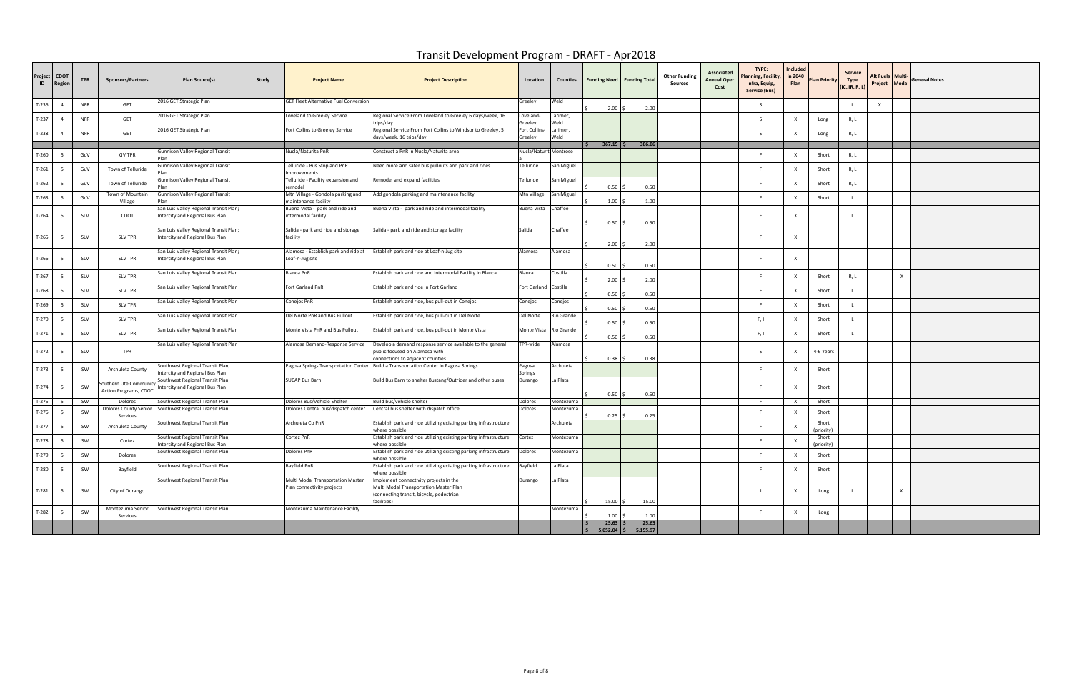| 2016 GET Strategic Plan<br>GET Fleet Alternative Fuel Conversion<br>Greeley<br>Weld<br>T-236<br><b>NFR</b><br>GET<br>$\mathsf{x}$<br>$\overline{4}$<br>2.00<br>2.00<br>2016 GET Strategic Plan<br>Loveland to Greeley Service<br>Regional Service From Loveland to Greeley 6 days/week, 16<br>Loveland-<br>Larimer,<br>T-237<br><b>NFR</b><br>GET<br>$\overline{4}$<br>$\varsigma$<br>Long<br>R, L<br>Greeley<br>Weld<br>trips/day<br>2016 GET Strategic Plan<br>Regional Service From Fort Collins to Windsor to Greeley, 5<br>Fort Collins-<br>Fort Collins to Greeley Service<br>Larimer,<br>T-238<br><b>NFR</b><br>GET<br>-S<br>Long<br>R, L<br>Weld<br>days/week, 16 trips/day<br>Greeley<br>386.86<br>$367.15$ \$<br>Nucla/Naturita PnR<br>Construct a PnR in Nucla/Naturita area<br>Nucla/Naturit Montrose<br>Gunnison Valley Regional Transit<br>T-260<br><b>GV TPR</b><br>GuV<br>Short<br>R, L<br>iunnison Valley Regional Transit<br>Telluride - Bus Stop and PnR<br>Need more and safer bus pullouts and park and rides<br>Telluride<br>San Miguel<br>$T-261$<br>Town of Telluride<br>Short<br>R, L<br>GuV<br>Improvements<br>Telluride<br>Gunnison Valley Regional Transit<br>Telluride - Facility expansion and<br>San Miguel<br>Remodel and expand facilities<br>T-262<br>Town of Telluride<br>GuV<br>Short<br>R, L<br>0.50<br>0.50<br>remodel<br>Gunnison Valley Regional Transit<br>Mtn Village - Gondola parking and<br>Mtn Village<br>Town of Mountain<br>Add gondola parking and maintenance facility<br>San Miguel<br>T-263<br>GuV<br>Short<br>1.00<br>1.00<br>Village<br>maintenance facility<br>Chaffee<br>San Luis Valley Regional Transit Plan<br>Buena Vista - park and ride and intermodal facility<br>Buena Vista - park and ride and<br>Buena Vista<br>SLV<br>T-264<br>CDOT<br>- 5<br>Intercity and Regional Bus Plan<br>intermodal facility<br>$0.50$ \$<br>0.50<br>Salida<br>Chaffee<br>San Luis Valley Regional Transit Plan<br>Salida - park and ride and storage<br>Salida - park and ride and storage facility<br>T-265<br>SLV<br>- 5<br><b>SLV TPR</b><br>Intercity and Regional Bus Plan<br>facility<br>2.00<br>2.00<br>Alamosa - Establish park and ride at<br>Establish park and ride at Loaf-n-Jug site<br>Alamosa<br>Alamosa<br>San Luis Valley Regional Transit Plan;<br>T-266<br>SLV<br><b>SLV TPR</b><br>Loaf-n-Jug site<br>Intercity and Regional Bus Plan<br>E.<br>X<br>0.50<br>0.50<br>Costilla<br>Blanca PnR<br>Blanca<br>San Luis Valley Regional Transit Plan<br>Establish park and ride and Intermodal Facility in Blanca<br>T-267<br>SLV<br><b>SLV TPR</b><br>- 5<br>Short<br>R, L<br>2.00<br>2.00<br>Fort Garland PnR<br>Fort Garland<br>Costilla<br>San Luis Valley Regional Transit Plan<br>Establish park and ride in Fort Garland<br>$T-268$<br>SLV<br><b>SLV TPR</b><br>Short<br>- 5<br>E.<br>0.50<br>0.50<br>San Luis Valley Regional Transit Plan<br>Conejos PnR<br>Establish park and ride, bus pull-out in Conejos<br>Conejos<br>Conejos<br>T-269<br>SLV<br>- 5<br><b>SLV TPR</b><br>Short<br>0.50<br>0.50<br>San Luis Valley Regional Transit Plan<br>Del Norte PnR and Bus Pullout<br>Establish park and ride, bus pull-out in Del Norte<br>Del Norte<br>Rio Grande<br>$T-270$<br>SLV<br>- 5<br><b>SLV TPR</b><br>F, I<br>Short<br>0.50<br>0.50<br>Monte Vista PnR and Bus Pullout<br>Monte Vista<br>Rio Grande<br>San Luis Valley Regional Transit Plan<br>Establish park and ride, bus pull-out in Monte Vista<br>$T-271$<br>SLV<br><b>SLV TPR</b><br>F, I<br>Short<br>0.50<br>0.50<br>San Luis Valley Regional Transit Plan<br>TPR-wide<br>Alamosa Demand-Response Service<br>Develop a demand response service available to the general<br>Alamosa<br>T-272<br>SLV<br>TPR<br>4-6 Years<br>- 5<br>S.<br>public focused on Alamosa with<br>0.38<br>connections to adjacent counties.<br>0.38<br>Archuleta<br>Southwest Regional Transit Plan;<br>Pagosa Springs Transportation Center   Build a Transportation Center in Pagosa Springs<br>Pagosa<br>T-273<br>SW<br>Short<br>- 5<br>Archuleta County<br>E.<br>Intercity and Regional Bus Plan<br>Springs<br>SUCAP Bus Barn<br>Southwest Regional Transit Plan;<br>Build Bus Barn to shelter Bustang/Outrider and other buses<br>Durango<br>La Plata<br>Southern Ute Community<br>$T-274$<br>SW<br>$-5$<br>F.<br>Intercity and Regional Bus Plan<br>Short<br>X<br>Action Programs, CDOT<br>0.50<br>0.50<br>$T-275$<br>SW<br>Dolores Bus/Vehicle Shelter<br>Short<br>Southwest Regional Transit Plan<br>Build bus/vehicle shelter<br>Dolores<br>Montezuma<br>$\mathsf{X}$<br>- 5<br>Dolores<br>- F<br>Montezuma<br>Dolores County Senior Southwest Regional Transit Plan<br>Dolores Central bus/dispatch center<br>Central bus shelter with dispatch office<br>Dolores<br>T-276<br>SW<br>Short<br>0.25<br>0.25<br>Services<br>Southwest Regional Transit Plan<br>Archuleta Co PnR<br>Establish park and ride utilizing existing parking infrastructure<br>Archuleta<br>Short<br>$T-277$<br>SW<br>Archuleta County<br>(priority)<br>where possible<br>Cortez PnR<br>Establish park and ride utilizing existing parking infrastructure<br>Cortez<br>Montezuma<br>Short<br>Southwest Regional Transit Plan;<br>T-278<br>SW<br>- 5<br>Cortez<br>Intercity and Regional Bus Plan<br>(priority)<br>where possible<br>Dolores PnR<br>Southwest Regional Transit Plan<br>Establish park and ride utilizing existing parking infrastructure<br>Dolores<br>Montezuma<br>T-279<br>SW<br>Short<br>Dolores<br>where possible<br>Bayfield PnR<br>Southwest Regional Transit Plan<br>Establish park and ride utilizing existing parking infrastructure<br>Bayfield<br>La Plata<br>$T-280$<br>SW<br>5 <sup>5</sup><br>Bayfield<br>E.<br>$\times$<br>Short<br>where possible<br>Multi Modal Transportation Master<br>La Plata<br>Southwest Regional Transit Plan<br>Implement connectivity projects in the<br>Durango<br>Multi Modal Transportation Master Plan<br>Plan connectivity projects<br>T-281<br>SW<br>5<br>City of Durango<br>Long<br>$\boldsymbol{\mathsf{x}}$<br>(connecting transit, bicycle, pedestrian<br>facilities)<br>15.00%<br>15.00<br>Montezuma Senior<br>Southwest Regional Transit Plan<br>Montezuma Maintenance Facility<br>Montezuma<br>$T-282$<br>SW<br>F.<br>$\mathbf{x}$<br>- 5<br>Long<br>1.00<br>1.00<br>Services<br>$25.63$ \$<br>25.63<br>l S<br>$5,052.04$ \$ $5,155.97$ | Project<br>ID | срот<br><b>legior</b> | <b>TPR</b> | <b>Sponsors/Partners</b> | Plan Source(s) | Study | <b>Project Name</b> | <b>Project Description</b> | Location | Counties   Funding Need   Funding Total | <b>Other Funding</b><br>Sources | Associated<br><b>Annual Oper</b><br>Cost | TYPE:<br>lanning, Facility<br>Infra, Equip,<br>Service (Bus) | Included<br>in 2040<br>Plan | Plan Priority | <b>Service</b><br>Type<br>(IC, IR, R, L) | Alt Fuels   Multi· | Project Modal | <b>General Notes</b> |
|---------------------------------------------------------------------------------------------------------------------------------------------------------------------------------------------------------------------------------------------------------------------------------------------------------------------------------------------------------------------------------------------------------------------------------------------------------------------------------------------------------------------------------------------------------------------------------------------------------------------------------------------------------------------------------------------------------------------------------------------------------------------------------------------------------------------------------------------------------------------------------------------------------------------------------------------------------------------------------------------------------------------------------------------------------------------------------------------------------------------------------------------------------------------------------------------------------------------------------------------------------------------------------------------------------------------------------------------------------------------------------------------------------------------------------------------------------------------------------------------------------------------------------------------------------------------------------------------------------------------------------------------------------------------------------------------------------------------------------------------------------------------------------------------------------------------------------------------------------------------------------------------------------------------------------------------------------------------------------------------------------------------------------------------------------------------------------------------------------------------------------------------------------------------------------------------------------------------------------------------------------------------------------------------------------------------------------------------------------------------------------------------------------------------------------------------------------------------------------------------------------------------------------------------------------------------------------------------------------------------------------------------------------------------------------------------------------------------------------------------------------------------------------------------------------------------------------------------------------------------------------------------------------------------------------------------------------------------------------------------------------------------------------------------------------------------------------------------------------------------------------------------------------------------------------------------------------------------------------------------------------------------------------------------------------------------------------------------------------------------------------------------------------------------------------------------------------------------------------------------------------------------------------------------------------------------------------------------------------------------------------------------------------------------------------------------------------------------------------------------------------------------------------------------------------------------------------------------------------------------------------------------------------------------------------------------------------------------------------------------------------------------------------------------------------------------------------------------------------------------------------------------------------------------------------------------------------------------------------------------------------------------------------------------------------------------------------------------------------------------------------------------------------------------------------------------------------------------------------------------------------------------------------------------------------------------------------------------------------------------------------------------------------------------------------------------------------------------------------------------------------------------------------------------------------------------------------------------------------------------------------------------------------------------------------------------------------------------------------------------------------------------------------------------------------------------------------------------------------------------------------------------------------------------------------------------------------------------------------------------------------------------------------------------------------------------------------------------------------------------------------------------------------------------------------------------------------------------------------------------------------------------------------------------------------------------------------------------------------------------------------------------------------------------------------------------------------------------------------------------------------------------------------------------------------------------------------------------------------------------------------------------------------------------------------------------------------------------------------------------------------------------------------------------------------------------------------------------------------------------------------------------------------------------------------------------------------------------------------------------------------------------------------------------------------------------------------------------------------------------------------------------------------|---------------|-----------------------|------------|--------------------------|----------------|-------|---------------------|----------------------------|----------|-----------------------------------------|---------------------------------|------------------------------------------|--------------------------------------------------------------|-----------------------------|---------------|------------------------------------------|--------------------|---------------|----------------------|
|                                                                                                                                                                                                                                                                                                                                                                                                                                                                                                                                                                                                                                                                                                                                                                                                                                                                                                                                                                                                                                                                                                                                                                                                                                                                                                                                                                                                                                                                                                                                                                                                                                                                                                                                                                                                                                                                                                                                                                                                                                                                                                                                                                                                                                                                                                                                                                                                                                                                                                                                                                                                                                                                                                                                                                                                                                                                                                                                                                                                                                                                                                                                                                                                                                                                                                                                                                                                                                                                                                                                                                                                                                                                                                                                                                                                                                                                                                                                                                                                                                                                                                                                                                                                                                                                                                                                                                                                                                                                                                                                                                                                                                                                                                                                                                                                                                                                                                                                                                                                                                                                                                                                                                                                                                                                                                                                                                                                                                                                                                                                                                                                                                                                                                                                                                                                                                                                                                                                                                                                                                                                                                                                                                                                                                                                                                                                                                                                         |               |                       |            |                          |                |       |                     |                            |          |                                         |                                 |                                          |                                                              |                             |               |                                          |                    |               |                      |
|                                                                                                                                                                                                                                                                                                                                                                                                                                                                                                                                                                                                                                                                                                                                                                                                                                                                                                                                                                                                                                                                                                                                                                                                                                                                                                                                                                                                                                                                                                                                                                                                                                                                                                                                                                                                                                                                                                                                                                                                                                                                                                                                                                                                                                                                                                                                                                                                                                                                                                                                                                                                                                                                                                                                                                                                                                                                                                                                                                                                                                                                                                                                                                                                                                                                                                                                                                                                                                                                                                                                                                                                                                                                                                                                                                                                                                                                                                                                                                                                                                                                                                                                                                                                                                                                                                                                                                                                                                                                                                                                                                                                                                                                                                                                                                                                                                                                                                                                                                                                                                                                                                                                                                                                                                                                                                                                                                                                                                                                                                                                                                                                                                                                                                                                                                                                                                                                                                                                                                                                                                                                                                                                                                                                                                                                                                                                                                                                         |               |                       |            |                          |                |       |                     |                            |          |                                         |                                 |                                          |                                                              |                             |               |                                          |                    |               |                      |
|                                                                                                                                                                                                                                                                                                                                                                                                                                                                                                                                                                                                                                                                                                                                                                                                                                                                                                                                                                                                                                                                                                                                                                                                                                                                                                                                                                                                                                                                                                                                                                                                                                                                                                                                                                                                                                                                                                                                                                                                                                                                                                                                                                                                                                                                                                                                                                                                                                                                                                                                                                                                                                                                                                                                                                                                                                                                                                                                                                                                                                                                                                                                                                                                                                                                                                                                                                                                                                                                                                                                                                                                                                                                                                                                                                                                                                                                                                                                                                                                                                                                                                                                                                                                                                                                                                                                                                                                                                                                                                                                                                                                                                                                                                                                                                                                                                                                                                                                                                                                                                                                                                                                                                                                                                                                                                                                                                                                                                                                                                                                                                                                                                                                                                                                                                                                                                                                                                                                                                                                                                                                                                                                                                                                                                                                                                                                                                                                         |               |                       |            |                          |                |       |                     |                            |          |                                         |                                 |                                          |                                                              |                             |               |                                          |                    |               |                      |
|                                                                                                                                                                                                                                                                                                                                                                                                                                                                                                                                                                                                                                                                                                                                                                                                                                                                                                                                                                                                                                                                                                                                                                                                                                                                                                                                                                                                                                                                                                                                                                                                                                                                                                                                                                                                                                                                                                                                                                                                                                                                                                                                                                                                                                                                                                                                                                                                                                                                                                                                                                                                                                                                                                                                                                                                                                                                                                                                                                                                                                                                                                                                                                                                                                                                                                                                                                                                                                                                                                                                                                                                                                                                                                                                                                                                                                                                                                                                                                                                                                                                                                                                                                                                                                                                                                                                                                                                                                                                                                                                                                                                                                                                                                                                                                                                                                                                                                                                                                                                                                                                                                                                                                                                                                                                                                                                                                                                                                                                                                                                                                                                                                                                                                                                                                                                                                                                                                                                                                                                                                                                                                                                                                                                                                                                                                                                                                                                         |               |                       |            |                          |                |       |                     |                            |          |                                         |                                 |                                          |                                                              |                             |               |                                          |                    |               |                      |
|                                                                                                                                                                                                                                                                                                                                                                                                                                                                                                                                                                                                                                                                                                                                                                                                                                                                                                                                                                                                                                                                                                                                                                                                                                                                                                                                                                                                                                                                                                                                                                                                                                                                                                                                                                                                                                                                                                                                                                                                                                                                                                                                                                                                                                                                                                                                                                                                                                                                                                                                                                                                                                                                                                                                                                                                                                                                                                                                                                                                                                                                                                                                                                                                                                                                                                                                                                                                                                                                                                                                                                                                                                                                                                                                                                                                                                                                                                                                                                                                                                                                                                                                                                                                                                                                                                                                                                                                                                                                                                                                                                                                                                                                                                                                                                                                                                                                                                                                                                                                                                                                                                                                                                                                                                                                                                                                                                                                                                                                                                                                                                                                                                                                                                                                                                                                                                                                                                                                                                                                                                                                                                                                                                                                                                                                                                                                                                                                         |               |                       |            |                          |                |       |                     |                            |          |                                         |                                 |                                          |                                                              |                             |               |                                          |                    |               |                      |
|                                                                                                                                                                                                                                                                                                                                                                                                                                                                                                                                                                                                                                                                                                                                                                                                                                                                                                                                                                                                                                                                                                                                                                                                                                                                                                                                                                                                                                                                                                                                                                                                                                                                                                                                                                                                                                                                                                                                                                                                                                                                                                                                                                                                                                                                                                                                                                                                                                                                                                                                                                                                                                                                                                                                                                                                                                                                                                                                                                                                                                                                                                                                                                                                                                                                                                                                                                                                                                                                                                                                                                                                                                                                                                                                                                                                                                                                                                                                                                                                                                                                                                                                                                                                                                                                                                                                                                                                                                                                                                                                                                                                                                                                                                                                                                                                                                                                                                                                                                                                                                                                                                                                                                                                                                                                                                                                                                                                                                                                                                                                                                                                                                                                                                                                                                                                                                                                                                                                                                                                                                                                                                                                                                                                                                                                                                                                                                                                         |               |                       |            |                          |                |       |                     |                            |          |                                         |                                 |                                          |                                                              |                             |               |                                          |                    |               |                      |
|                                                                                                                                                                                                                                                                                                                                                                                                                                                                                                                                                                                                                                                                                                                                                                                                                                                                                                                                                                                                                                                                                                                                                                                                                                                                                                                                                                                                                                                                                                                                                                                                                                                                                                                                                                                                                                                                                                                                                                                                                                                                                                                                                                                                                                                                                                                                                                                                                                                                                                                                                                                                                                                                                                                                                                                                                                                                                                                                                                                                                                                                                                                                                                                                                                                                                                                                                                                                                                                                                                                                                                                                                                                                                                                                                                                                                                                                                                                                                                                                                                                                                                                                                                                                                                                                                                                                                                                                                                                                                                                                                                                                                                                                                                                                                                                                                                                                                                                                                                                                                                                                                                                                                                                                                                                                                                                                                                                                                                                                                                                                                                                                                                                                                                                                                                                                                                                                                                                                                                                                                                                                                                                                                                                                                                                                                                                                                                                                         |               |                       |            |                          |                |       |                     |                            |          |                                         |                                 |                                          |                                                              |                             |               |                                          |                    |               |                      |
|                                                                                                                                                                                                                                                                                                                                                                                                                                                                                                                                                                                                                                                                                                                                                                                                                                                                                                                                                                                                                                                                                                                                                                                                                                                                                                                                                                                                                                                                                                                                                                                                                                                                                                                                                                                                                                                                                                                                                                                                                                                                                                                                                                                                                                                                                                                                                                                                                                                                                                                                                                                                                                                                                                                                                                                                                                                                                                                                                                                                                                                                                                                                                                                                                                                                                                                                                                                                                                                                                                                                                                                                                                                                                                                                                                                                                                                                                                                                                                                                                                                                                                                                                                                                                                                                                                                                                                                                                                                                                                                                                                                                                                                                                                                                                                                                                                                                                                                                                                                                                                                                                                                                                                                                                                                                                                                                                                                                                                                                                                                                                                                                                                                                                                                                                                                                                                                                                                                                                                                                                                                                                                                                                                                                                                                                                                                                                                                                         |               |                       |            |                          |                |       |                     |                            |          |                                         |                                 |                                          |                                                              |                             |               |                                          |                    |               |                      |
|                                                                                                                                                                                                                                                                                                                                                                                                                                                                                                                                                                                                                                                                                                                                                                                                                                                                                                                                                                                                                                                                                                                                                                                                                                                                                                                                                                                                                                                                                                                                                                                                                                                                                                                                                                                                                                                                                                                                                                                                                                                                                                                                                                                                                                                                                                                                                                                                                                                                                                                                                                                                                                                                                                                                                                                                                                                                                                                                                                                                                                                                                                                                                                                                                                                                                                                                                                                                                                                                                                                                                                                                                                                                                                                                                                                                                                                                                                                                                                                                                                                                                                                                                                                                                                                                                                                                                                                                                                                                                                                                                                                                                                                                                                                                                                                                                                                                                                                                                                                                                                                                                                                                                                                                                                                                                                                                                                                                                                                                                                                                                                                                                                                                                                                                                                                                                                                                                                                                                                                                                                                                                                                                                                                                                                                                                                                                                                                                         |               |                       |            |                          |                |       |                     |                            |          |                                         |                                 |                                          |                                                              |                             |               |                                          |                    |               |                      |
|                                                                                                                                                                                                                                                                                                                                                                                                                                                                                                                                                                                                                                                                                                                                                                                                                                                                                                                                                                                                                                                                                                                                                                                                                                                                                                                                                                                                                                                                                                                                                                                                                                                                                                                                                                                                                                                                                                                                                                                                                                                                                                                                                                                                                                                                                                                                                                                                                                                                                                                                                                                                                                                                                                                                                                                                                                                                                                                                                                                                                                                                                                                                                                                                                                                                                                                                                                                                                                                                                                                                                                                                                                                                                                                                                                                                                                                                                                                                                                                                                                                                                                                                                                                                                                                                                                                                                                                                                                                                                                                                                                                                                                                                                                                                                                                                                                                                                                                                                                                                                                                                                                                                                                                                                                                                                                                                                                                                                                                                                                                                                                                                                                                                                                                                                                                                                                                                                                                                                                                                                                                                                                                                                                                                                                                                                                                                                                                                         |               |                       |            |                          |                |       |                     |                            |          |                                         |                                 |                                          |                                                              |                             |               |                                          |                    |               |                      |
|                                                                                                                                                                                                                                                                                                                                                                                                                                                                                                                                                                                                                                                                                                                                                                                                                                                                                                                                                                                                                                                                                                                                                                                                                                                                                                                                                                                                                                                                                                                                                                                                                                                                                                                                                                                                                                                                                                                                                                                                                                                                                                                                                                                                                                                                                                                                                                                                                                                                                                                                                                                                                                                                                                                                                                                                                                                                                                                                                                                                                                                                                                                                                                                                                                                                                                                                                                                                                                                                                                                                                                                                                                                                                                                                                                                                                                                                                                                                                                                                                                                                                                                                                                                                                                                                                                                                                                                                                                                                                                                                                                                                                                                                                                                                                                                                                                                                                                                                                                                                                                                                                                                                                                                                                                                                                                                                                                                                                                                                                                                                                                                                                                                                                                                                                                                                                                                                                                                                                                                                                                                                                                                                                                                                                                                                                                                                                                                                         |               |                       |            |                          |                |       |                     |                            |          |                                         |                                 |                                          |                                                              |                             |               |                                          |                    |               |                      |
|                                                                                                                                                                                                                                                                                                                                                                                                                                                                                                                                                                                                                                                                                                                                                                                                                                                                                                                                                                                                                                                                                                                                                                                                                                                                                                                                                                                                                                                                                                                                                                                                                                                                                                                                                                                                                                                                                                                                                                                                                                                                                                                                                                                                                                                                                                                                                                                                                                                                                                                                                                                                                                                                                                                                                                                                                                                                                                                                                                                                                                                                                                                                                                                                                                                                                                                                                                                                                                                                                                                                                                                                                                                                                                                                                                                                                                                                                                                                                                                                                                                                                                                                                                                                                                                                                                                                                                                                                                                                                                                                                                                                                                                                                                                                                                                                                                                                                                                                                                                                                                                                                                                                                                                                                                                                                                                                                                                                                                                                                                                                                                                                                                                                                                                                                                                                                                                                                                                                                                                                                                                                                                                                                                                                                                                                                                                                                                                                         |               |                       |            |                          |                |       |                     |                            |          |                                         |                                 |                                          |                                                              |                             |               |                                          |                    |               |                      |
|                                                                                                                                                                                                                                                                                                                                                                                                                                                                                                                                                                                                                                                                                                                                                                                                                                                                                                                                                                                                                                                                                                                                                                                                                                                                                                                                                                                                                                                                                                                                                                                                                                                                                                                                                                                                                                                                                                                                                                                                                                                                                                                                                                                                                                                                                                                                                                                                                                                                                                                                                                                                                                                                                                                                                                                                                                                                                                                                                                                                                                                                                                                                                                                                                                                                                                                                                                                                                                                                                                                                                                                                                                                                                                                                                                                                                                                                                                                                                                                                                                                                                                                                                                                                                                                                                                                                                                                                                                                                                                                                                                                                                                                                                                                                                                                                                                                                                                                                                                                                                                                                                                                                                                                                                                                                                                                                                                                                                                                                                                                                                                                                                                                                                                                                                                                                                                                                                                                                                                                                                                                                                                                                                                                                                                                                                                                                                                                                         |               |                       |            |                          |                |       |                     |                            |          |                                         |                                 |                                          |                                                              |                             |               |                                          |                    |               |                      |
|                                                                                                                                                                                                                                                                                                                                                                                                                                                                                                                                                                                                                                                                                                                                                                                                                                                                                                                                                                                                                                                                                                                                                                                                                                                                                                                                                                                                                                                                                                                                                                                                                                                                                                                                                                                                                                                                                                                                                                                                                                                                                                                                                                                                                                                                                                                                                                                                                                                                                                                                                                                                                                                                                                                                                                                                                                                                                                                                                                                                                                                                                                                                                                                                                                                                                                                                                                                                                                                                                                                                                                                                                                                                                                                                                                                                                                                                                                                                                                                                                                                                                                                                                                                                                                                                                                                                                                                                                                                                                                                                                                                                                                                                                                                                                                                                                                                                                                                                                                                                                                                                                                                                                                                                                                                                                                                                                                                                                                                                                                                                                                                                                                                                                                                                                                                                                                                                                                                                                                                                                                                                                                                                                                                                                                                                                                                                                                                                         |               |                       |            |                          |                |       |                     |                            |          |                                         |                                 |                                          |                                                              |                             |               |                                          |                    |               |                      |
|                                                                                                                                                                                                                                                                                                                                                                                                                                                                                                                                                                                                                                                                                                                                                                                                                                                                                                                                                                                                                                                                                                                                                                                                                                                                                                                                                                                                                                                                                                                                                                                                                                                                                                                                                                                                                                                                                                                                                                                                                                                                                                                                                                                                                                                                                                                                                                                                                                                                                                                                                                                                                                                                                                                                                                                                                                                                                                                                                                                                                                                                                                                                                                                                                                                                                                                                                                                                                                                                                                                                                                                                                                                                                                                                                                                                                                                                                                                                                                                                                                                                                                                                                                                                                                                                                                                                                                                                                                                                                                                                                                                                                                                                                                                                                                                                                                                                                                                                                                                                                                                                                                                                                                                                                                                                                                                                                                                                                                                                                                                                                                                                                                                                                                                                                                                                                                                                                                                                                                                                                                                                                                                                                                                                                                                                                                                                                                                                         |               |                       |            |                          |                |       |                     |                            |          |                                         |                                 |                                          |                                                              |                             |               |                                          |                    |               |                      |
|                                                                                                                                                                                                                                                                                                                                                                                                                                                                                                                                                                                                                                                                                                                                                                                                                                                                                                                                                                                                                                                                                                                                                                                                                                                                                                                                                                                                                                                                                                                                                                                                                                                                                                                                                                                                                                                                                                                                                                                                                                                                                                                                                                                                                                                                                                                                                                                                                                                                                                                                                                                                                                                                                                                                                                                                                                                                                                                                                                                                                                                                                                                                                                                                                                                                                                                                                                                                                                                                                                                                                                                                                                                                                                                                                                                                                                                                                                                                                                                                                                                                                                                                                                                                                                                                                                                                                                                                                                                                                                                                                                                                                                                                                                                                                                                                                                                                                                                                                                                                                                                                                                                                                                                                                                                                                                                                                                                                                                                                                                                                                                                                                                                                                                                                                                                                                                                                                                                                                                                                                                                                                                                                                                                                                                                                                                                                                                                                         |               |                       |            |                          |                |       |                     |                            |          |                                         |                                 |                                          |                                                              |                             |               |                                          |                    |               |                      |
|                                                                                                                                                                                                                                                                                                                                                                                                                                                                                                                                                                                                                                                                                                                                                                                                                                                                                                                                                                                                                                                                                                                                                                                                                                                                                                                                                                                                                                                                                                                                                                                                                                                                                                                                                                                                                                                                                                                                                                                                                                                                                                                                                                                                                                                                                                                                                                                                                                                                                                                                                                                                                                                                                                                                                                                                                                                                                                                                                                                                                                                                                                                                                                                                                                                                                                                                                                                                                                                                                                                                                                                                                                                                                                                                                                                                                                                                                                                                                                                                                                                                                                                                                                                                                                                                                                                                                                                                                                                                                                                                                                                                                                                                                                                                                                                                                                                                                                                                                                                                                                                                                                                                                                                                                                                                                                                                                                                                                                                                                                                                                                                                                                                                                                                                                                                                                                                                                                                                                                                                                                                                                                                                                                                                                                                                                                                                                                                                         |               |                       |            |                          |                |       |                     |                            |          |                                         |                                 |                                          |                                                              |                             |               |                                          |                    |               |                      |
|                                                                                                                                                                                                                                                                                                                                                                                                                                                                                                                                                                                                                                                                                                                                                                                                                                                                                                                                                                                                                                                                                                                                                                                                                                                                                                                                                                                                                                                                                                                                                                                                                                                                                                                                                                                                                                                                                                                                                                                                                                                                                                                                                                                                                                                                                                                                                                                                                                                                                                                                                                                                                                                                                                                                                                                                                                                                                                                                                                                                                                                                                                                                                                                                                                                                                                                                                                                                                                                                                                                                                                                                                                                                                                                                                                                                                                                                                                                                                                                                                                                                                                                                                                                                                                                                                                                                                                                                                                                                                                                                                                                                                                                                                                                                                                                                                                                                                                                                                                                                                                                                                                                                                                                                                                                                                                                                                                                                                                                                                                                                                                                                                                                                                                                                                                                                                                                                                                                                                                                                                                                                                                                                                                                                                                                                                                                                                                                                         |               |                       |            |                          |                |       |                     |                            |          |                                         |                                 |                                          |                                                              |                             |               |                                          |                    |               |                      |
|                                                                                                                                                                                                                                                                                                                                                                                                                                                                                                                                                                                                                                                                                                                                                                                                                                                                                                                                                                                                                                                                                                                                                                                                                                                                                                                                                                                                                                                                                                                                                                                                                                                                                                                                                                                                                                                                                                                                                                                                                                                                                                                                                                                                                                                                                                                                                                                                                                                                                                                                                                                                                                                                                                                                                                                                                                                                                                                                                                                                                                                                                                                                                                                                                                                                                                                                                                                                                                                                                                                                                                                                                                                                                                                                                                                                                                                                                                                                                                                                                                                                                                                                                                                                                                                                                                                                                                                                                                                                                                                                                                                                                                                                                                                                                                                                                                                                                                                                                                                                                                                                                                                                                                                                                                                                                                                                                                                                                                                                                                                                                                                                                                                                                                                                                                                                                                                                                                                                                                                                                                                                                                                                                                                                                                                                                                                                                                                                         |               |                       |            |                          |                |       |                     |                            |          |                                         |                                 |                                          |                                                              |                             |               |                                          |                    |               |                      |
|                                                                                                                                                                                                                                                                                                                                                                                                                                                                                                                                                                                                                                                                                                                                                                                                                                                                                                                                                                                                                                                                                                                                                                                                                                                                                                                                                                                                                                                                                                                                                                                                                                                                                                                                                                                                                                                                                                                                                                                                                                                                                                                                                                                                                                                                                                                                                                                                                                                                                                                                                                                                                                                                                                                                                                                                                                                                                                                                                                                                                                                                                                                                                                                                                                                                                                                                                                                                                                                                                                                                                                                                                                                                                                                                                                                                                                                                                                                                                                                                                                                                                                                                                                                                                                                                                                                                                                                                                                                                                                                                                                                                                                                                                                                                                                                                                                                                                                                                                                                                                                                                                                                                                                                                                                                                                                                                                                                                                                                                                                                                                                                                                                                                                                                                                                                                                                                                                                                                                                                                                                                                                                                                                                                                                                                                                                                                                                                                         |               |                       |            |                          |                |       |                     |                            |          |                                         |                                 |                                          |                                                              |                             |               |                                          |                    |               |                      |
|                                                                                                                                                                                                                                                                                                                                                                                                                                                                                                                                                                                                                                                                                                                                                                                                                                                                                                                                                                                                                                                                                                                                                                                                                                                                                                                                                                                                                                                                                                                                                                                                                                                                                                                                                                                                                                                                                                                                                                                                                                                                                                                                                                                                                                                                                                                                                                                                                                                                                                                                                                                                                                                                                                                                                                                                                                                                                                                                                                                                                                                                                                                                                                                                                                                                                                                                                                                                                                                                                                                                                                                                                                                                                                                                                                                                                                                                                                                                                                                                                                                                                                                                                                                                                                                                                                                                                                                                                                                                                                                                                                                                                                                                                                                                                                                                                                                                                                                                                                                                                                                                                                                                                                                                                                                                                                                                                                                                                                                                                                                                                                                                                                                                                                                                                                                                                                                                                                                                                                                                                                                                                                                                                                                                                                                                                                                                                                                                         |               |                       |            |                          |                |       |                     |                            |          |                                         |                                 |                                          |                                                              |                             |               |                                          |                    |               |                      |
|                                                                                                                                                                                                                                                                                                                                                                                                                                                                                                                                                                                                                                                                                                                                                                                                                                                                                                                                                                                                                                                                                                                                                                                                                                                                                                                                                                                                                                                                                                                                                                                                                                                                                                                                                                                                                                                                                                                                                                                                                                                                                                                                                                                                                                                                                                                                                                                                                                                                                                                                                                                                                                                                                                                                                                                                                                                                                                                                                                                                                                                                                                                                                                                                                                                                                                                                                                                                                                                                                                                                                                                                                                                                                                                                                                                                                                                                                                                                                                                                                                                                                                                                                                                                                                                                                                                                                                                                                                                                                                                                                                                                                                                                                                                                                                                                                                                                                                                                                                                                                                                                                                                                                                                                                                                                                                                                                                                                                                                                                                                                                                                                                                                                                                                                                                                                                                                                                                                                                                                                                                                                                                                                                                                                                                                                                                                                                                                                         |               |                       |            |                          |                |       |                     |                            |          |                                         |                                 |                                          |                                                              |                             |               |                                          |                    |               |                      |
|                                                                                                                                                                                                                                                                                                                                                                                                                                                                                                                                                                                                                                                                                                                                                                                                                                                                                                                                                                                                                                                                                                                                                                                                                                                                                                                                                                                                                                                                                                                                                                                                                                                                                                                                                                                                                                                                                                                                                                                                                                                                                                                                                                                                                                                                                                                                                                                                                                                                                                                                                                                                                                                                                                                                                                                                                                                                                                                                                                                                                                                                                                                                                                                                                                                                                                                                                                                                                                                                                                                                                                                                                                                                                                                                                                                                                                                                                                                                                                                                                                                                                                                                                                                                                                                                                                                                                                                                                                                                                                                                                                                                                                                                                                                                                                                                                                                                                                                                                                                                                                                                                                                                                                                                                                                                                                                                                                                                                                                                                                                                                                                                                                                                                                                                                                                                                                                                                                                                                                                                                                                                                                                                                                                                                                                                                                                                                                                                         |               |                       |            |                          |                |       |                     |                            |          |                                         |                                 |                                          |                                                              |                             |               |                                          |                    |               |                      |
|                                                                                                                                                                                                                                                                                                                                                                                                                                                                                                                                                                                                                                                                                                                                                                                                                                                                                                                                                                                                                                                                                                                                                                                                                                                                                                                                                                                                                                                                                                                                                                                                                                                                                                                                                                                                                                                                                                                                                                                                                                                                                                                                                                                                                                                                                                                                                                                                                                                                                                                                                                                                                                                                                                                                                                                                                                                                                                                                                                                                                                                                                                                                                                                                                                                                                                                                                                                                                                                                                                                                                                                                                                                                                                                                                                                                                                                                                                                                                                                                                                                                                                                                                                                                                                                                                                                                                                                                                                                                                                                                                                                                                                                                                                                                                                                                                                                                                                                                                                                                                                                                                                                                                                                                                                                                                                                                                                                                                                                                                                                                                                                                                                                                                                                                                                                                                                                                                                                                                                                                                                                                                                                                                                                                                                                                                                                                                                                                         |               |                       |            |                          |                |       |                     |                            |          |                                         |                                 |                                          |                                                              |                             |               |                                          |                    |               |                      |
|                                                                                                                                                                                                                                                                                                                                                                                                                                                                                                                                                                                                                                                                                                                                                                                                                                                                                                                                                                                                                                                                                                                                                                                                                                                                                                                                                                                                                                                                                                                                                                                                                                                                                                                                                                                                                                                                                                                                                                                                                                                                                                                                                                                                                                                                                                                                                                                                                                                                                                                                                                                                                                                                                                                                                                                                                                                                                                                                                                                                                                                                                                                                                                                                                                                                                                                                                                                                                                                                                                                                                                                                                                                                                                                                                                                                                                                                                                                                                                                                                                                                                                                                                                                                                                                                                                                                                                                                                                                                                                                                                                                                                                                                                                                                                                                                                                                                                                                                                                                                                                                                                                                                                                                                                                                                                                                                                                                                                                                                                                                                                                                                                                                                                                                                                                                                                                                                                                                                                                                                                                                                                                                                                                                                                                                                                                                                                                                                         |               |                       |            |                          |                |       |                     |                            |          |                                         |                                 |                                          |                                                              |                             |               |                                          |                    |               |                      |
|                                                                                                                                                                                                                                                                                                                                                                                                                                                                                                                                                                                                                                                                                                                                                                                                                                                                                                                                                                                                                                                                                                                                                                                                                                                                                                                                                                                                                                                                                                                                                                                                                                                                                                                                                                                                                                                                                                                                                                                                                                                                                                                                                                                                                                                                                                                                                                                                                                                                                                                                                                                                                                                                                                                                                                                                                                                                                                                                                                                                                                                                                                                                                                                                                                                                                                                                                                                                                                                                                                                                                                                                                                                                                                                                                                                                                                                                                                                                                                                                                                                                                                                                                                                                                                                                                                                                                                                                                                                                                                                                                                                                                                                                                                                                                                                                                                                                                                                                                                                                                                                                                                                                                                                                                                                                                                                                                                                                                                                                                                                                                                                                                                                                                                                                                                                                                                                                                                                                                                                                                                                                                                                                                                                                                                                                                                                                                                                                         |               |                       |            |                          |                |       |                     |                            |          |                                         |                                 |                                          |                                                              |                             |               |                                          |                    |               |                      |
|                                                                                                                                                                                                                                                                                                                                                                                                                                                                                                                                                                                                                                                                                                                                                                                                                                                                                                                                                                                                                                                                                                                                                                                                                                                                                                                                                                                                                                                                                                                                                                                                                                                                                                                                                                                                                                                                                                                                                                                                                                                                                                                                                                                                                                                                                                                                                                                                                                                                                                                                                                                                                                                                                                                                                                                                                                                                                                                                                                                                                                                                                                                                                                                                                                                                                                                                                                                                                                                                                                                                                                                                                                                                                                                                                                                                                                                                                                                                                                                                                                                                                                                                                                                                                                                                                                                                                                                                                                                                                                                                                                                                                                                                                                                                                                                                                                                                                                                                                                                                                                                                                                                                                                                                                                                                                                                                                                                                                                                                                                                                                                                                                                                                                                                                                                                                                                                                                                                                                                                                                                                                                                                                                                                                                                                                                                                                                                                                         |               |                       |            |                          |                |       |                     |                            |          |                                         |                                 |                                          |                                                              |                             |               |                                          |                    |               |                      |
|                                                                                                                                                                                                                                                                                                                                                                                                                                                                                                                                                                                                                                                                                                                                                                                                                                                                                                                                                                                                                                                                                                                                                                                                                                                                                                                                                                                                                                                                                                                                                                                                                                                                                                                                                                                                                                                                                                                                                                                                                                                                                                                                                                                                                                                                                                                                                                                                                                                                                                                                                                                                                                                                                                                                                                                                                                                                                                                                                                                                                                                                                                                                                                                                                                                                                                                                                                                                                                                                                                                                                                                                                                                                                                                                                                                                                                                                                                                                                                                                                                                                                                                                                                                                                                                                                                                                                                                                                                                                                                                                                                                                                                                                                                                                                                                                                                                                                                                                                                                                                                                                                                                                                                                                                                                                                                                                                                                                                                                                                                                                                                                                                                                                                                                                                                                                                                                                                                                                                                                                                                                                                                                                                                                                                                                                                                                                                                                                         |               |                       |            |                          |                |       |                     |                            |          |                                         |                                 |                                          |                                                              |                             |               |                                          |                    |               |                      |
|                                                                                                                                                                                                                                                                                                                                                                                                                                                                                                                                                                                                                                                                                                                                                                                                                                                                                                                                                                                                                                                                                                                                                                                                                                                                                                                                                                                                                                                                                                                                                                                                                                                                                                                                                                                                                                                                                                                                                                                                                                                                                                                                                                                                                                                                                                                                                                                                                                                                                                                                                                                                                                                                                                                                                                                                                                                                                                                                                                                                                                                                                                                                                                                                                                                                                                                                                                                                                                                                                                                                                                                                                                                                                                                                                                                                                                                                                                                                                                                                                                                                                                                                                                                                                                                                                                                                                                                                                                                                                                                                                                                                                                                                                                                                                                                                                                                                                                                                                                                                                                                                                                                                                                                                                                                                                                                                                                                                                                                                                                                                                                                                                                                                                                                                                                                                                                                                                                                                                                                                                                                                                                                                                                                                                                                                                                                                                                                                         |               |                       |            |                          |                |       |                     |                            |          |                                         |                                 |                                          |                                                              |                             |               |                                          |                    |               |                      |